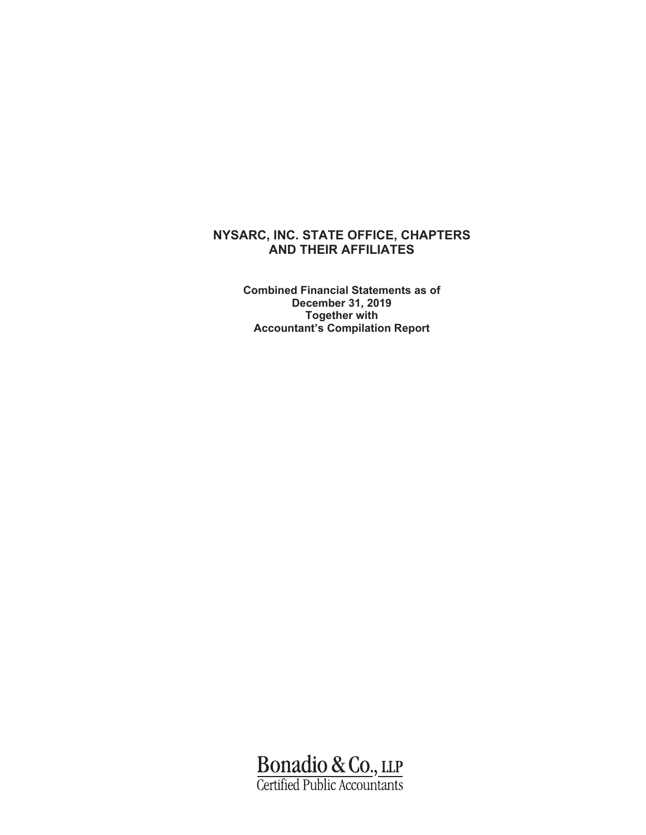### **NYSARC, INC. STATE OFFICE, CHAPTERS AND THEIR AFFILIATES**

**Combined Financial Statements as of December 31, 2019 Together with Accountant's Compilation Report** 

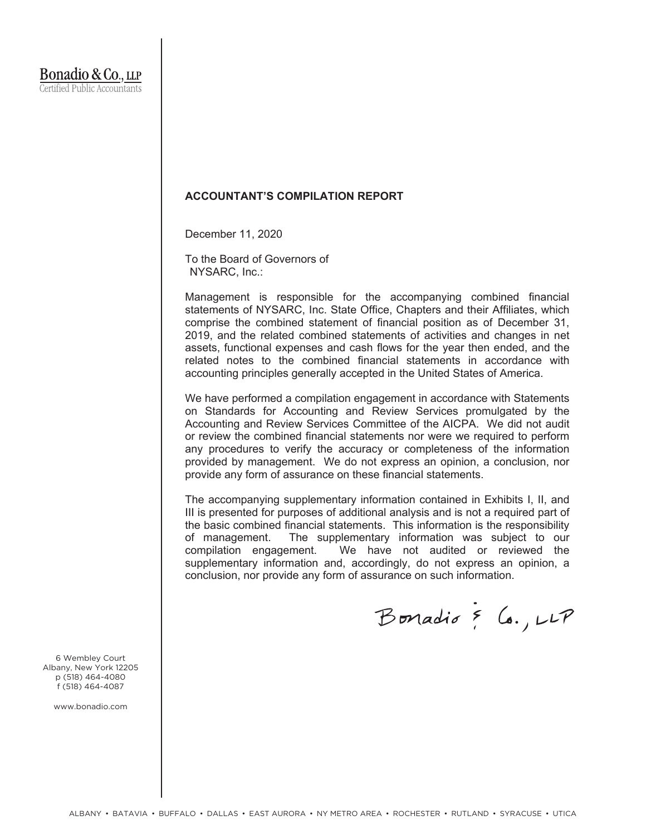### **ACCOUNTANT'S COMPILATION REPORT**

December 11, 2020

To the Board of Governors of NYSARC, Inc.:

Management is responsible for the accompanying combined financial statements of NYSARC, Inc. State Office, Chapters and their Affiliates, which comprise the combined statement of financial position as of December 31, 2019, and the related combined statements of activities and changes in net assets, functional expenses and cash flows for the year then ended, and the related notes to the combined financial statements in accordance with accounting principles generally accepted in the United States of America.

We have performed a compilation engagement in accordance with Statements on Standards for Accounting and Review Services promulgated by the Accounting and Review Services Committee of the AICPA. We did not audit or review the combined financial statements nor were we required to perform any procedures to verify the accuracy or completeness of the information provided by management. We do not express an opinion, a conclusion, nor provide any form of assurance on these financial statements.

The accompanying supplementary information contained in Exhibits I, II, and III is presented for purposes of additional analysis and is not a required part of the basic combined financial statements. This information is the responsibility of management. The supplementary information was subject to our compilation engagement. We have not audited or reviewed the supplementary information and, accordingly, do not express an opinion, a conclusion, nor provide any form of assurance on such information.

Bonadio & Co., LLP

6 Wembley Court Albany, New York 12205 p (518) 464-4080 f (518) 464-4087

www.bonadio.com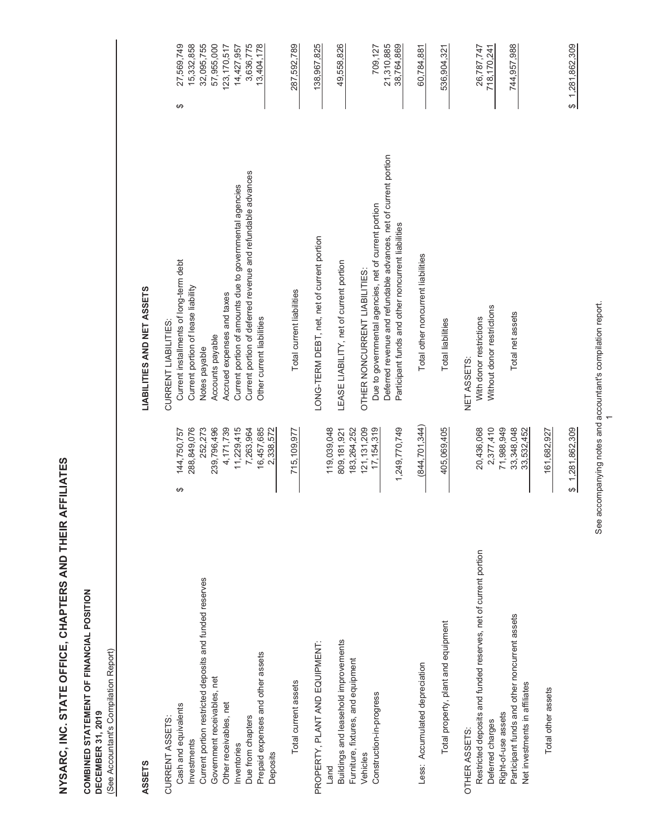### **COMBINED STATEMENT OF FINANCIAL POSITION<br>DECEMBER 31, 2019 COMBINED STATEMENT OF FINANCIAL POSITION DECEMBER 31, 2019**

(See Accountant's Compilation Report) (See Accountant's Compilation Report)

# **ASSETS LIABILITIES AND NET ASSETS ASSETS**

LIABILITIES AND NET ASSETS

| CURRENT ASSETS:                                                                     |                              | CURRENT LIABILITIES:                                                                                                   |                          |
|-------------------------------------------------------------------------------------|------------------------------|------------------------------------------------------------------------------------------------------------------------|--------------------------|
| Cash and equivalents                                                                | 144,750,757<br>↮             | Current installments of long-term debt                                                                                 | 27,569,749<br>↮          |
| Current portion restricted deposits and funded reserves<br>Investments              | 252,273<br>288,849,076       | Current portion of lease liability<br>Notes payable                                                                    | 15,332,858<br>32,095,755 |
| Government receivables, net                                                         | 239,796,496                  | Accounts payable                                                                                                       | 57,955,000               |
| Other receivables, net                                                              | 4,171,739                    | Accrued expenses and taxes                                                                                             | 123,170,517              |
| Inventories                                                                         | 11,229,415                   | Current portion of amounts due to governmental agencies                                                                | 14,427,957               |
| Due from chapters                                                                   | 7,263,964                    | Current portion of deferred revenue and refundable advances                                                            | 3,636,775                |
| Prepaid expenses and other assets<br>Deposits                                       | 16,457,685<br>2,338,572      | Other current liabilities                                                                                              | 13,404,178               |
| Total current assets                                                                | 715,109,977                  | Total current liabilities                                                                                              | 287,592,789              |
| PROPERTY, PLANT AND EQUIPMENT:                                                      |                              | LONG-TERM DEBT, net, net of current portion                                                                            | 138,967,825              |
| Land                                                                                | 119,039,048                  |                                                                                                                        |                          |
| Buildings and leasehold improvements<br>Furniture, fixtures, and equipment          | 183,264,252<br>809, 181, 921 | LEASE LIABILITY, net of current portion                                                                                | 49,558,826               |
| Vehicles                                                                            | 121, 131, 209                | OTHER NONCURRENT LIABILITIES:                                                                                          |                          |
| Construction-in-progress                                                            | 17, 154, 319                 | Due to governmental agencies, net of current portion                                                                   | 709,127                  |
|                                                                                     | 1,249,770,749                | Deferred revenue and refundable advances, net of current portion<br>Participant funds and other noncurrent liabilities | 21,310,885<br>38,764,869 |
| Less: Accumulated depreciation                                                      | (844, 701, 344)              | Total other noncurrent liabilities                                                                                     | 60,784,881               |
| Total property, plant and equipment                                                 | 405,069,405                  | <b>Total liabilities</b>                                                                                               | 536,904,321              |
| OTHER ASSETS:                                                                       |                              | NET ASSETS:                                                                                                            | 26,787,747               |
| Restricted deposits and funded reserves, net of current portion<br>Deferred charges | 2,377,410<br>20,436,068      | Without donor restrictions<br>With donor restrictions                                                                  | 718, 170, 241            |
| Right-of-use assets                                                                 | 71,988,949                   |                                                                                                                        |                          |
| Participant funds and other noncurrent assets<br>Net investments in affiliates      | 33,348,048<br>33,532,452     | Total net assets                                                                                                       | 744,957,988              |
| Total other assets                                                                  | 161,682,927                  |                                                                                                                        |                          |
|                                                                                     | \$1,281,862,309              |                                                                                                                        | \$1,281,862,309          |

See accompanying notes and accountant's compilation report. See accompanying notes and accountant's compilation report.

 $\leftarrow$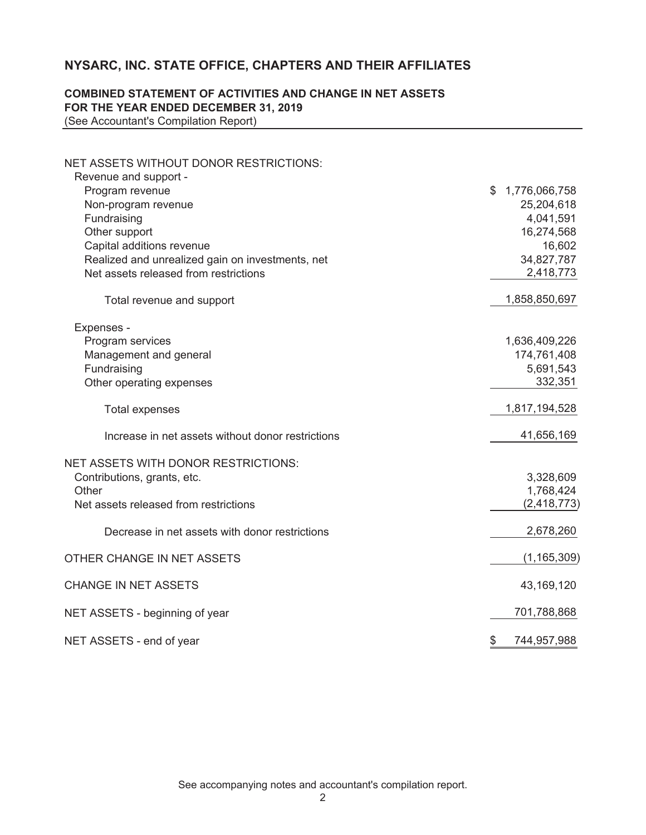### **NYSARC, INC. STATE OFFICE, CHAPTERS AND THEIR AFFILIATES**

### **COMBINED STATEMENT OF ACTIVITIES AND CHANGE IN NET ASSETS FOR THE YEAR ENDED DECEMBER 31, 2019**

(See Accountant's Compilation Report)

| NET ASSETS WITHOUT DONOR RESTRICTIONS:            |                     |
|---------------------------------------------------|---------------------|
| Revenue and support -                             |                     |
| Program revenue                                   | 1,776,066,758<br>\$ |
| Non-program revenue                               | 25,204,618          |
| Fundraising                                       | 4,041,591           |
| Other support                                     | 16,274,568          |
| Capital additions revenue                         | 16,602              |
| Realized and unrealized gain on investments, net  | 34,827,787          |
| Net assets released from restrictions             | 2,418,773           |
| Total revenue and support                         | 1,858,850,697       |
| Expenses -                                        |                     |
| Program services                                  | 1,636,409,226       |
| Management and general                            | 174,761,408         |
| Fundraising                                       | 5,691,543           |
| Other operating expenses                          | 332,351             |
| <b>Total expenses</b>                             | 1,817,194,528       |
| Increase in net assets without donor restrictions | 41,656,169          |
| <b>NET ASSETS WITH DONOR RESTRICTIONS:</b>        |                     |
| Contributions, grants, etc.                       | 3,328,609           |
| Other                                             | 1,768,424           |
| Net assets released from restrictions             | (2, 418, 773)       |
| Decrease in net assets with donor restrictions    | 2,678,260           |
| OTHER CHANGE IN NET ASSETS                        | (1, 165, 309)       |
| <b>CHANGE IN NET ASSETS</b>                       | 43,169,120          |
| NET ASSETS - beginning of year                    | 701,788,868         |
| NET ASSETS - end of year                          | \$<br>744,957,988   |

See accompanying notes and accountant's compilation report.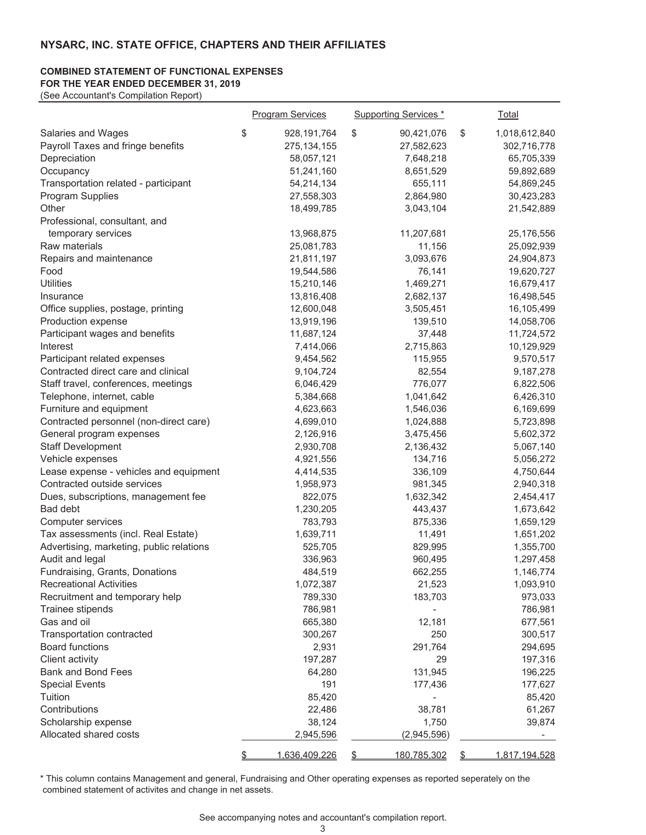### **COMBINED STATEMENT OF FUNCTIONAL EXPENSES**

**FOR THE YEAR ENDED DECEMBER 31, 2019**  (See Accountant's Compilation Report)

|                                          | <b>Program Services</b> |    | <b>Supporting Services</b> * |    | Total         |
|------------------------------------------|-------------------------|----|------------------------------|----|---------------|
| Salaries and Wages                       | \$<br>928, 191, 764     | \$ | 90,421,076                   | \$ | 1,018,612,840 |
| Payroll Taxes and fringe benefits        | 275, 134, 155           |    | 27,582,623                   |    | 302,716,778   |
| Depreciation                             | 58,057,121              |    | 7,648,218                    |    | 65,705,339    |
| Occupancy                                | 51,241,160              |    | 8,651,529                    |    | 59,892,689    |
| Transportation related - participant     | 54,214,134              |    | 655,111                      |    | 54,869,245    |
| Program Supplies                         | 27,558,303              |    | 2,864,980                    |    | 30,423,283    |
| Other                                    | 18,499,785              |    | 3,043,104                    |    | 21,542,889    |
| Professional, consultant, and            |                         |    |                              |    |               |
| temporary services                       | 13,968,875              |    | 11,207,681                   |    | 25,176,556    |
| Raw materials                            | 25,081,783              |    | 11,156                       |    | 25,092,939    |
| Repairs and maintenance                  | 21,811,197              |    | 3,093,676                    |    | 24,904,873    |
| Food                                     | 19,544,586              |    | 76,141                       |    | 19,620,727    |
| <b>Utilities</b>                         | 15,210,146              |    | 1,469,271                    |    | 16,679,417    |
| Insurance                                | 13,816,408              |    | 2,682,137                    |    | 16,498,545    |
| Office supplies, postage, printing       | 12,600,048              |    | 3,505,451                    |    | 16,105,499    |
| Production expense                       | 13,919,196              |    | 139,510                      |    | 14,058,706    |
| Participant wages and benefits           | 11,687,124              |    | 37,448                       |    | 11,724,572    |
| Interest                                 | 7,414,066               |    | 2,715,863                    |    | 10,129,929    |
| Participant related expenses             | 9,454,562               |    | 115,955                      |    | 9,570,517     |
| Contracted direct care and clinical      | 9,104,724               |    | 82,554                       |    | 9,187,278     |
| Staff travel, conferences, meetings      | 6,046,429               |    | 776,077                      |    | 6,822,506     |
| Telephone, internet, cable               | 5,384,668               |    | 1,041,642                    |    | 6,426,310     |
| Furniture and equipment                  | 4,623,663               |    | 1,546,036                    |    | 6,169,699     |
| Contracted personnel (non-direct care)   | 4,699,010               |    | 1,024,888                    |    | 5,723,898     |
| General program expenses                 | 2,126,916               |    | 3,475,456                    |    | 5,602,372     |
| <b>Staff Development</b>                 | 2,930,708               |    | 2,136,432                    |    | 5,067,140     |
| Vehicle expenses                         | 4,921,556               |    | 134,716                      |    | 5,056,272     |
| Lease expense - vehicles and equipment   | 4,414,535               |    | 336,109                      |    | 4,750,644     |
| Contracted outside services              | 1,958,973               |    | 981,345                      |    | 2,940,318     |
| Dues, subscriptions, management fee      | 822,075                 |    | 1,632,342                    |    | 2,454,417     |
| Bad debt                                 | 1,230,205               |    | 443,437                      |    | 1,673,642     |
| Computer services                        | 783,793                 |    | 875,336                      |    | 1,659,129     |
| Tax assessments (incl. Real Estate)      | 1,639,711               |    | 11,491                       |    | 1,651,202     |
| Advertising, marketing, public relations | 525,705                 |    | 829,995                      |    | 1,355,700     |
| Audit and legal                          | 336,963                 |    | 960,495                      |    | 1,297,458     |
| Fundraising, Grants, Donations           | 484,519                 |    | 662,255                      |    | 1,146,774     |
| <b>Recreational Activities</b>           | 1,072,387               |    | 21,523                       |    | 1,093,910     |
| Recruitment and temporary help           | 789,330                 |    | 183,703                      |    | 973,033       |
| Trainee stipends                         | 786,981                 |    |                              |    | 786,981       |
| Gas and oil                              | 665,380                 |    | 12,181                       |    | 677,561       |
| Transportation contracted                | 300,267                 |    | 250                          |    | 300,517       |
| <b>Board functions</b>                   | 2,931                   |    | 291,764                      |    | 294,695       |
| Client activity                          | 197,287                 |    | 29                           |    | 197,316       |
| <b>Bank and Bond Fees</b>                | 64,280                  |    | 131,945                      |    | 196,225       |
| <b>Special Events</b>                    | 191                     |    | 177,436                      |    | 177,627       |
| Tuition                                  | 85,420                  |    |                              |    | 85,420        |
| Contributions                            | 22,486                  |    | 38,781                       |    | 61,267        |
| Scholarship expense                      | 38,124                  |    | 1,750                        |    | 39,874        |
| Allocated shared costs                   | 2,945,596               |    | (2,945,596)                  |    |               |
|                                          | 1,636,409,226           | £. | <u>180,785,302</u>           | S. | 1,817,194,528 |

\* This column contains Management and general, Fundraising and Other operating expenses as reported seperately on the combined statement of activites and change in net assets.

See accompanying notes and accountant's compilation report.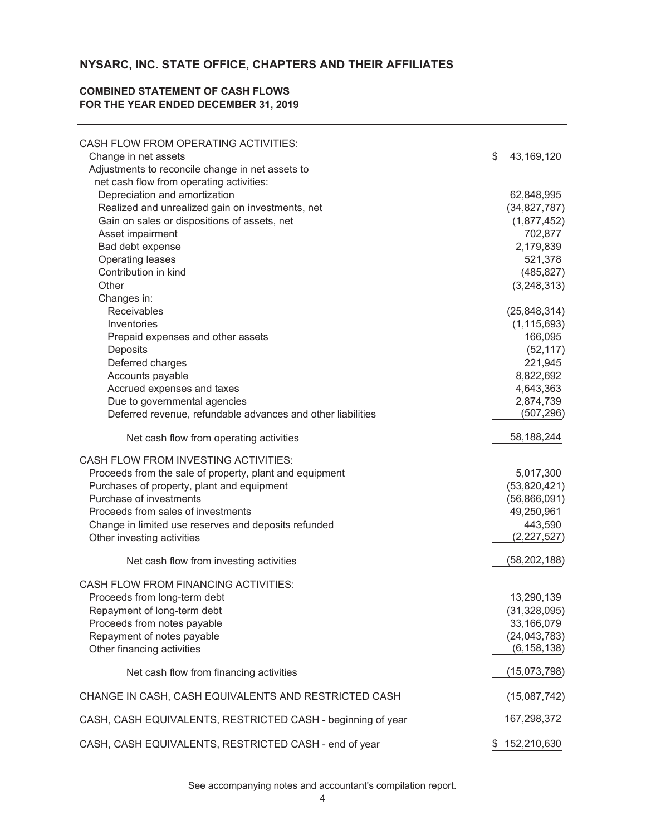### **NYSARC, INC. STATE OFFICE, CHAPTERS AND THEIR AFFILIATES**

### **FOR THE YEAR ENDED DECEMBER 31, 2019 COMBINED STATEMENT OF CASH FLOWS**

| CASH FLOW FROM OPERATING ACTIVITIES:                        |                         |
|-------------------------------------------------------------|-------------------------|
| Change in net assets                                        | \$<br>43,169,120        |
| Adjustments to reconcile change in net assets to            |                         |
| net cash flow from operating activities:                    |                         |
| Depreciation and amortization                               | 62,848,995              |
| Realized and unrealized gain on investments, net            | (34, 827, 787)          |
| Gain on sales or dispositions of assets, net                | (1,877,452)             |
| Asset impairment                                            | 702,877                 |
| Bad debt expense                                            | 2,179,839               |
| Operating leases                                            | 521,378                 |
| Contribution in kind                                        | (485, 827)              |
| Other                                                       | (3,248,313)             |
| Changes in:                                                 |                         |
| Receivables                                                 | (25, 848, 314)          |
| Inventories                                                 | (1, 115, 693)           |
| Prepaid expenses and other assets                           | 166,095                 |
| Deposits                                                    | (52, 117)               |
| Deferred charges                                            | 221,945                 |
| Accounts payable                                            | 8,822,692               |
| Accrued expenses and taxes                                  | 4,643,363               |
| Due to governmental agencies                                | 2,874,739<br>(507, 296) |
| Deferred revenue, refundable advances and other liabilities |                         |
| Net cash flow from operating activities                     | 58,188,244              |
| CASH FLOW FROM INVESTING ACTIVITIES:                        |                         |
| Proceeds from the sale of property, plant and equipment     | 5,017,300               |
| Purchases of property, plant and equipment                  | (53,820,421)            |
| Purchase of investments                                     | (56,866,091)            |
| Proceeds from sales of investments                          | 49,250,961              |
| Change in limited use reserves and deposits refunded        | 443,590                 |
| Other investing activities                                  | (2,227,527)             |
| Net cash flow from investing activities                     | (58, 202, 188)          |
|                                                             |                         |
| <b>CASH FLOW FROM FINANCING ACTIVITIES:</b>                 |                         |
| Proceeds from long-term debt                                | 13,290,139              |
| Repayment of long-term debt                                 | (31, 328, 095)          |
| Proceeds from notes payable                                 | 33,166,079              |
| Repayment of notes payable                                  | (24, 043, 783)          |
| Other financing activities                                  | (6, 158, 138)           |
| Net cash flow from financing activities                     | (15,073,798)            |
| CHANGE IN CASH, CASH EQUIVALENTS AND RESTRICTED CASH        | (15,087,742)            |
| CASH, CASH EQUIVALENTS, RESTRICTED CASH - beginning of year | 167,298,372             |
|                                                             | \$152,210,630           |
| CASH, CASH EQUIVALENTS, RESTRICTED CASH - end of year       |                         |

See accompanying notes and accountant's compilation report.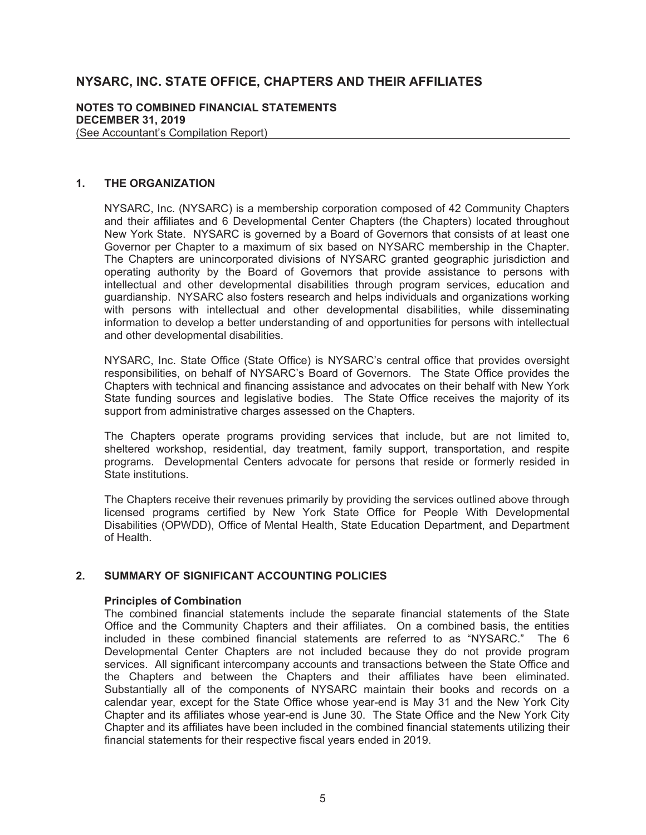### **NYSARC, INC. STATE OFFICE, CHAPTERS AND THEIR AFFILIATES**

### **NOTES TO COMBINED FINANCIAL STATEMENTS DECEMBER 31, 2019**  (See Accountant's Compilation Report)

### **1. THE ORGANIZATION**

NYSARC, Inc. (NYSARC) is a membership corporation composed of 42 Community Chapters and their affiliates and 6 Developmental Center Chapters (the Chapters) located throughout New York State. NYSARC is governed by a Board of Governors that consists of at least one Governor per Chapter to a maximum of six based on NYSARC membership in the Chapter. The Chapters are unincorporated divisions of NYSARC granted geographic jurisdiction and operating authority by the Board of Governors that provide assistance to persons with intellectual and other developmental disabilities through program services, education and guardianship. NYSARC also fosters research and helps individuals and organizations working with persons with intellectual and other developmental disabilities, while disseminating information to develop a better understanding of and opportunities for persons with intellectual and other developmental disabilities.

NYSARC, Inc. State Office (State Office) is NYSARC's central office that provides oversight responsibilities, on behalf of NYSARC's Board of Governors. The State Office provides the Chapters with technical and financing assistance and advocates on their behalf with New York State funding sources and legislative bodies. The State Office receives the majority of its support from administrative charges assessed on the Chapters.

The Chapters operate programs providing services that include, but are not limited to, sheltered workshop, residential, day treatment, family support, transportation, and respite programs. Developmental Centers advocate for persons that reside or formerly resided in State institutions.

The Chapters receive their revenues primarily by providing the services outlined above through licensed programs certified by New York State Office for People With Developmental Disabilities (OPWDD), Office of Mental Health, State Education Department, and Department of Health.

### **2. SUMMARY OF SIGNIFICANT ACCOUNTING POLICIES**

### **Principles of Combination**

The combined financial statements include the separate financial statements of the State Office and the Community Chapters and their affiliates. On a combined basis, the entities included in these combined financial statements are referred to as "NYSARC." The 6 Developmental Center Chapters are not included because they do not provide program services. All significant intercompany accounts and transactions between the State Office and the Chapters and between the Chapters and their affiliates have been eliminated. Substantially all of the components of NYSARC maintain their books and records on a calendar year, except for the State Office whose year-end is May 31 and the New York City Chapter and its affiliates whose year-end is June 30. The State Office and the New York City Chapter and its affiliates have been included in the combined financial statements utilizing their financial statements for their respective fiscal years ended in 2019.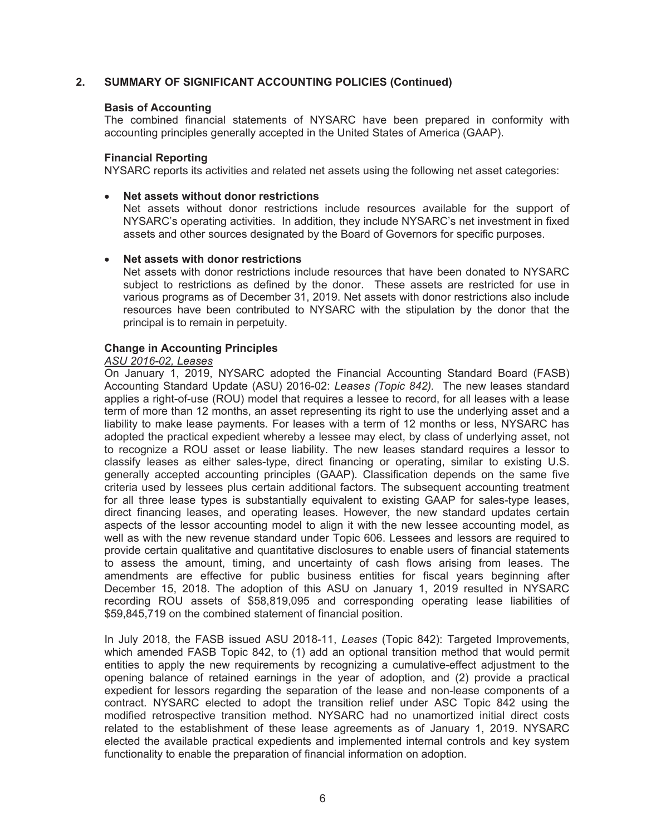### **Basis of Accounting**

The combined financial statements of NYSARC have been prepared in conformity with accounting principles generally accepted in the United States of America (GAAP).

### **Financial Reporting**

NYSARC reports its activities and related net assets using the following net asset categories:

### x **Net assets without donor restrictions**

Net assets without donor restrictions include resources available for the support of NYSARC's operating activities. In addition, they include NYSARC's net investment in fixed assets and other sources designated by the Board of Governors for specific purposes.

### x **Net assets with donor restrictions**

Net assets with donor restrictions include resources that have been donated to NYSARC subject to restrictions as defined by the donor. These assets are restricted for use in various programs as of December 31, 2019. Net assets with donor restrictions also include resources have been contributed to NYSARC with the stipulation by the donor that the principal is to remain in perpetuity.

### **Change in Accounting Principles**

### *ASU 2016-02, Leases*

On January 1, 2019, NYSARC adopted the Financial Accounting Standard Board (FASB) Accounting Standard Update (ASU) 2016-02: *Leases (Topic 842).* The new leases standard applies a right-of-use (ROU) model that requires a lessee to record, for all leases with a lease term of more than 12 months, an asset representing its right to use the underlying asset and a liability to make lease payments. For leases with a term of 12 months or less, NYSARC has adopted the practical expedient whereby a lessee may elect, by class of underlying asset, not to recognize a ROU asset or lease liability. The new leases standard requires a lessor to classify leases as either sales-type, direct financing or operating, similar to existing U.S. generally accepted accounting principles (GAAP). Classification depends on the same five criteria used by lessees plus certain additional factors. The subsequent accounting treatment for all three lease types is substantially equivalent to existing GAAP for sales-type leases, direct financing leases, and operating leases. However, the new standard updates certain aspects of the lessor accounting model to align it with the new lessee accounting model, as well as with the new revenue standard under Topic 606. Lessees and lessors are required to provide certain qualitative and quantitative disclosures to enable users of financial statements to assess the amount, timing, and uncertainty of cash flows arising from leases. The amendments are effective for public business entities for fiscal years beginning after December 15, 2018. The adoption of this ASU on January 1, 2019 resulted in NYSARC recording ROU assets of \$58,819,095 and corresponding operating lease liabilities of \$59,845,719 on the combined statement of financial position.

In July 2018, the FASB issued ASU 2018-11, *Leases* (Topic 842): Targeted Improvements, which amended FASB Topic 842, to (1) add an optional transition method that would permit entities to apply the new requirements by recognizing a cumulative-effect adjustment to the opening balance of retained earnings in the year of adoption, and (2) provide a practical expedient for lessors regarding the separation of the lease and non-lease components of a contract. NYSARC elected to adopt the transition relief under ASC Topic 842 using the modified retrospective transition method. NYSARC had no unamortized initial direct costs related to the establishment of these lease agreements as of January 1, 2019. NYSARC elected the available practical expedients and implemented internal controls and key system functionality to enable the preparation of financial information on adoption.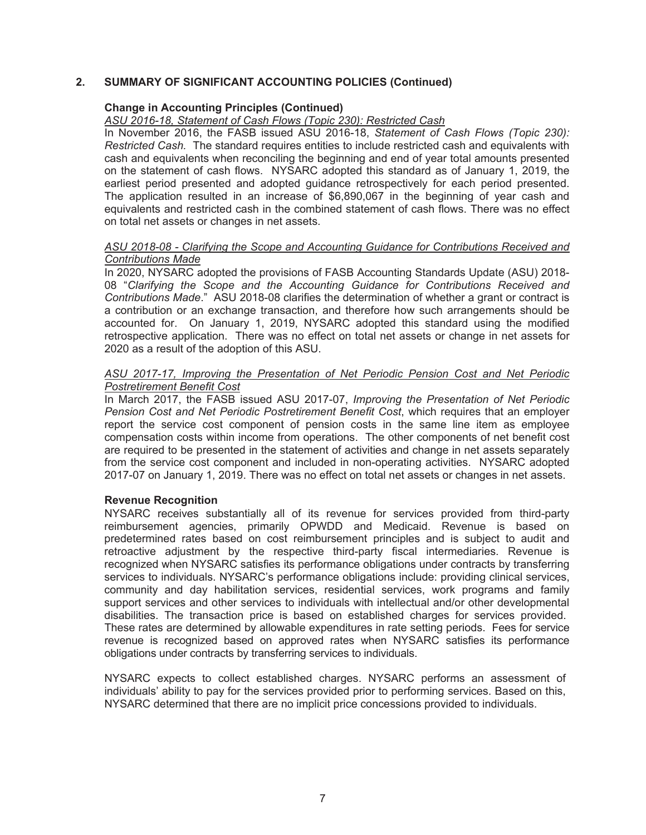### **Change in Accounting Principles (Continued)**

### *ASU 2016-18, Statement of Cash Flows (Topic 230): Restricted Cash*

In November 2016, the FASB issued ASU 2016-18, *Statement of Cash Flows (Topic 230): Restricted Cash.* The standard requires entities to include restricted cash and equivalents with cash and equivalents when reconciling the beginning and end of year total amounts presented on the statement of cash flows. NYSARC adopted this standard as of January 1, 2019, the earliest period presented and adopted guidance retrospectively for each period presented. The application resulted in an increase of \$6,890,067 in the beginning of year cash and equivalents and restricted cash in the combined statement of cash flows. There was no effect on total net assets or changes in net assets.

### *ASU 2018-08 - Clarifying the Scope and Accounting Guidance for Contributions Received and Contributions Made*

In 2020, NYSARC adopted the provisions of FASB Accounting Standards Update (ASU) 2018- 08 "*Clarifying the Scope and the Accounting Guidance for Contributions Received and Contributions Made*." ASU 2018-08 clarifies the determination of whether a grant or contract is a contribution or an exchange transaction, and therefore how such arrangements should be accounted for. On January 1, 2019, NYSARC adopted this standard using the modified retrospective application. There was no effect on total net assets or change in net assets for 2020 as a result of the adoption of this ASU.

### *ASU 2017-17, Improving the Presentation of Net Periodic Pension Cost and Net Periodic Postretirement Benefit Cost*

In March 2017, the FASB issued ASU 2017-07, *Improving the Presentation of Net Periodic Pension Cost and Net Periodic Postretirement Benefit Cost*, which requires that an employer report the service cost component of pension costs in the same line item as employee compensation costs within income from operations. The other components of net benefit cost are required to be presented in the statement of activities and change in net assets separately from the service cost component and included in non-operating activities. NYSARC adopted 2017-07 on January 1, 2019. There was no effect on total net assets or changes in net assets.

### **Revenue Recognition**

NYSARC receives substantially all of its revenue for services provided from third-party reimbursement agencies, primarily OPWDD and Medicaid. Revenue is based on predetermined rates based on cost reimbursement principles and is subject to audit and retroactive adjustment by the respective third-party fiscal intermediaries. Revenue is recognized when NYSARC satisfies its performance obligations under contracts by transferring services to individuals. NYSARC's performance obligations include: providing clinical services, community and day habilitation services, residential services, work programs and family support services and other services to individuals with intellectual and/or other developmental disabilities. The transaction price is based on established charges for services provided. These rates are determined by allowable expenditures in rate setting periods. Fees for service revenue is recognized based on approved rates when NYSARC satisfies its performance obligations under contracts by transferring services to individuals.

NYSARC expects to collect established charges. NYSARC performs an assessment of individuals' ability to pay for the services provided prior to performing services. Based on this, NYSARC determined that there are no implicit price concessions provided to individuals.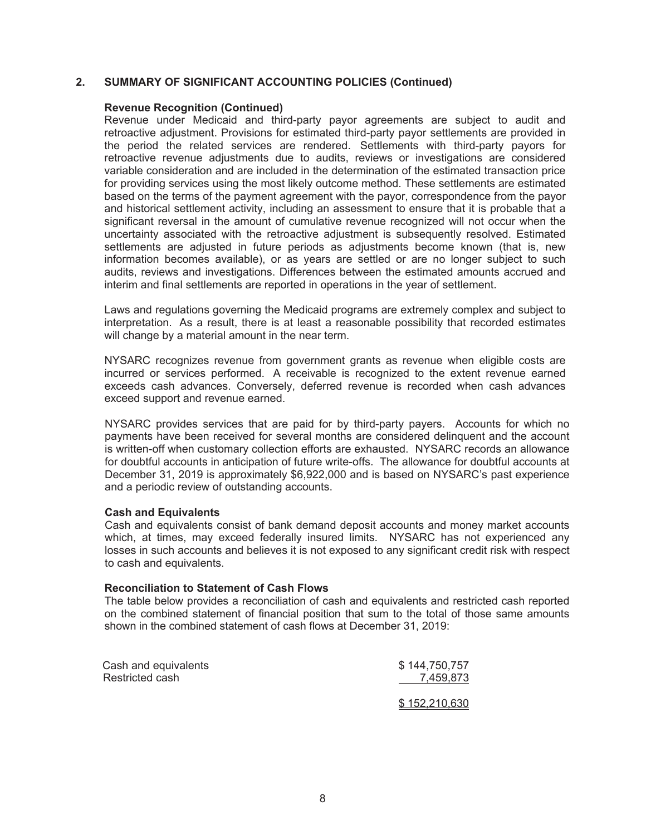### **Revenue Recognition (Continued)**

Revenue under Medicaid and third-party payor agreements are subject to audit and retroactive adjustment. Provisions for estimated third-party payor settlements are provided in the period the related services are rendered. Settlements with third-party payors for retroactive revenue adjustments due to audits, reviews or investigations are considered variable consideration and are included in the determination of the estimated transaction price for providing services using the most likely outcome method. These settlements are estimated based on the terms of the payment agreement with the payor, correspondence from the payor and historical settlement activity, including an assessment to ensure that it is probable that a significant reversal in the amount of cumulative revenue recognized will not occur when the uncertainty associated with the retroactive adjustment is subsequently resolved. Estimated settlements are adjusted in future periods as adjustments become known (that is, new information becomes available), or as years are settled or are no longer subject to such audits, reviews and investigations. Differences between the estimated amounts accrued and interim and final settlements are reported in operations in the year of settlement.

Laws and regulations governing the Medicaid programs are extremely complex and subject to interpretation. As a result, there is at least a reasonable possibility that recorded estimates will change by a material amount in the near term.

NYSARC recognizes revenue from government grants as revenue when eligible costs are incurred or services performed. A receivable is recognized to the extent revenue earned exceeds cash advances. Conversely, deferred revenue is recorded when cash advances exceed support and revenue earned.

NYSARC provides services that are paid for by third-party payers. Accounts for which no payments have been received for several months are considered delinquent and the account is written-off when customary collection efforts are exhausted. NYSARC records an allowance for doubtful accounts in anticipation of future write-offs. The allowance for doubtful accounts at December 31, 2019 is approximately \$6,922,000 and is based on NYSARC's past experience and a periodic review of outstanding accounts.

### **Cash and Equivalents**

Cash and equivalents consist of bank demand deposit accounts and money market accounts which, at times, may exceed federally insured limits. NYSARC has not experienced any losses in such accounts and believes it is not exposed to any significant credit risk with respect to cash and equivalents.

### **Reconciliation to Statement of Cash Flows**

The table below provides a reconciliation of cash and equivalents and restricted cash reported on the combined statement of financial position that sum to the total of those same amounts shown in the combined statement of cash flows at December 31, 2019:

| Cash and equivalents | \$144,750,757 |
|----------------------|---------------|
| Restricted cash      | 7,459,873     |
|                      | \$152,210,630 |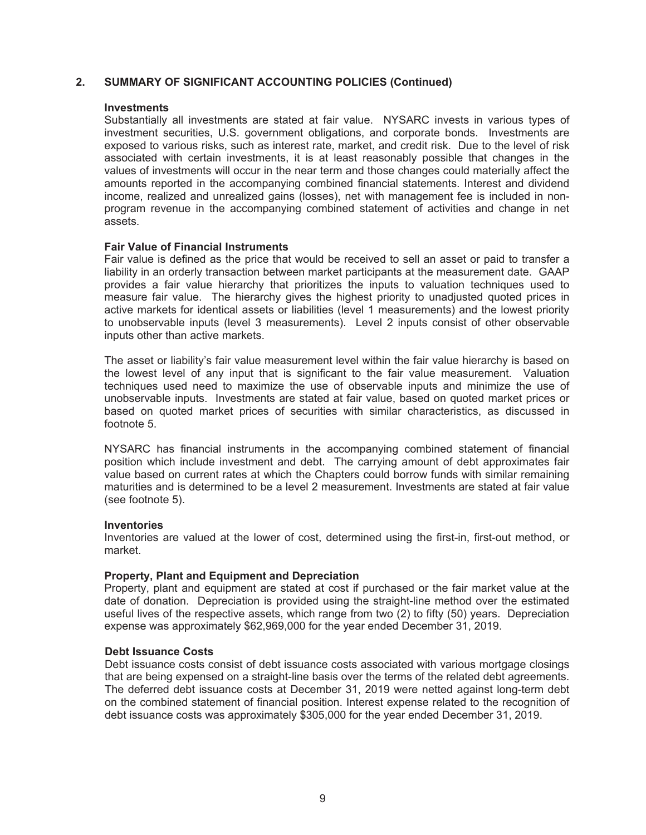### **Investments**

Substantially all investments are stated at fair value. NYSARC invests in various types of investment securities, U.S. government obligations, and corporate bonds. Investments are exposed to various risks, such as interest rate, market, and credit risk. Due to the level of risk associated with certain investments, it is at least reasonably possible that changes in the values of investments will occur in the near term and those changes could materially affect the amounts reported in the accompanying combined financial statements. Interest and dividend income, realized and unrealized gains (losses), net with management fee is included in nonprogram revenue in the accompanying combined statement of activities and change in net assets.

### **Fair Value of Financial Instruments**

Fair value is defined as the price that would be received to sell an asset or paid to transfer a liability in an orderly transaction between market participants at the measurement date. GAAP provides a fair value hierarchy that prioritizes the inputs to valuation techniques used to measure fair value. The hierarchy gives the highest priority to unadjusted quoted prices in active markets for identical assets or liabilities (level 1 measurements) and the lowest priority to unobservable inputs (level 3 measurements). Level 2 inputs consist of other observable inputs other than active markets.

The asset or liability's fair value measurement level within the fair value hierarchy is based on the lowest level of any input that is significant to the fair value measurement. Valuation techniques used need to maximize the use of observable inputs and minimize the use of unobservable inputs. Investments are stated at fair value, based on quoted market prices or based on quoted market prices of securities with similar characteristics, as discussed in footnote 5.

NYSARC has financial instruments in the accompanying combined statement of financial position which include investment and debt. The carrying amount of debt approximates fair value based on current rates at which the Chapters could borrow funds with similar remaining maturities and is determined to be a level 2 measurement. Investments are stated at fair value (see footnote 5).

### **Inventories**

Inventories are valued at the lower of cost, determined using the first-in, first-out method, or market.

### **Property, Plant and Equipment and Depreciation**

Property, plant and equipment are stated at cost if purchased or the fair market value at the date of donation. Depreciation is provided using the straight-line method over the estimated useful lives of the respective assets, which range from two (2) to fifty (50) years. Depreciation expense was approximately \$62,969,000 for the year ended December 31, 2019.

### **Debt Issuance Costs**

Debt issuance costs consist of debt issuance costs associated with various mortgage closings that are being expensed on a straight-line basis over the terms of the related debt agreements. The deferred debt issuance costs at December 31, 2019 were netted against long-term debt on the combined statement of financial position. Interest expense related to the recognition of debt issuance costs was approximately \$305,000 for the year ended December 31, 2019.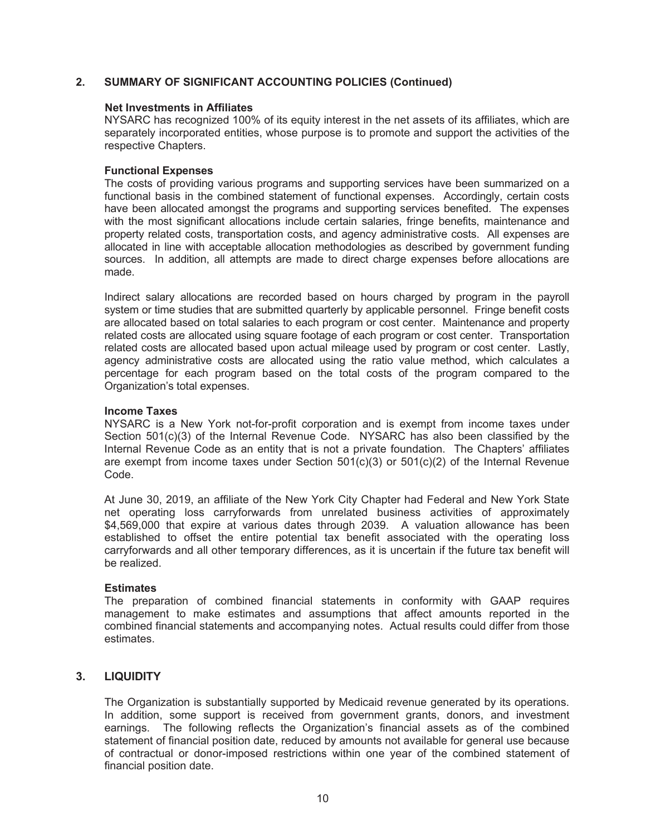### **Net Investments in Affiliates**

NYSARC has recognized 100% of its equity interest in the net assets of its affiliates, which are separately incorporated entities, whose purpose is to promote and support the activities of the respective Chapters.

### **Functional Expenses**

The costs of providing various programs and supporting services have been summarized on a functional basis in the combined statement of functional expenses. Accordingly, certain costs have been allocated amongst the programs and supporting services benefited. The expenses with the most significant allocations include certain salaries, fringe benefits, maintenance and property related costs, transportation costs, and agency administrative costs. All expenses are allocated in line with acceptable allocation methodologies as described by government funding sources. In addition, all attempts are made to direct charge expenses before allocations are made.

Indirect salary allocations are recorded based on hours charged by program in the payroll system or time studies that are submitted quarterly by applicable personnel. Fringe benefit costs are allocated based on total salaries to each program or cost center. Maintenance and property related costs are allocated using square footage of each program or cost center. Transportation related costs are allocated based upon actual mileage used by program or cost center. Lastly, agency administrative costs are allocated using the ratio value method, which calculates a percentage for each program based on the total costs of the program compared to the Organization's total expenses.

### **Income Taxes**

NYSARC is a New York not-for-profit corporation and is exempt from income taxes under Section 501(c)(3) of the Internal Revenue Code. NYSARC has also been classified by the Internal Revenue Code as an entity that is not a private foundation. The Chapters' affiliates are exempt from income taxes under Section  $501(c)(3)$  or  $501(c)(2)$  of the Internal Revenue Code.

At June 30, 2019, an affiliate of the New York City Chapter had Federal and New York State net operating loss carryforwards from unrelated business activities of approximately \$4,569,000 that expire at various dates through 2039. A valuation allowance has been established to offset the entire potential tax benefit associated with the operating loss carryforwards and all other temporary differences, as it is uncertain if the future tax benefit will be realized.

### **Estimates**

The preparation of combined financial statements in conformity with GAAP requires management to make estimates and assumptions that affect amounts reported in the combined financial statements and accompanying notes. Actual results could differ from those estimates.

### **3. LIQUIDITY**

The Organization is substantially supported by Medicaid revenue generated by its operations. In addition, some support is received from government grants, donors, and investment earnings. The following reflects the Organization's financial assets as of the combined statement of financial position date, reduced by amounts not available for general use because of contractual or donor-imposed restrictions within one year of the combined statement of financial position date.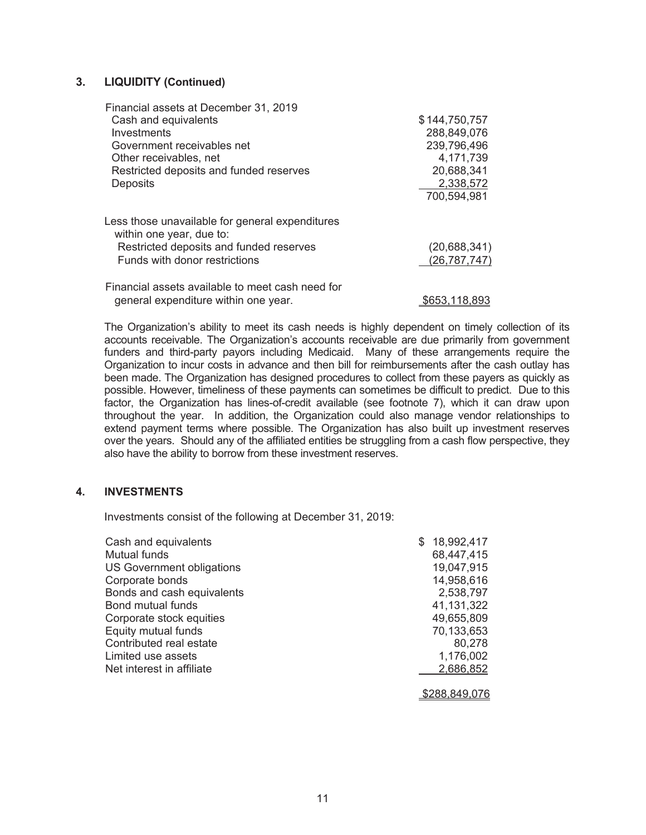### **3. LIQUIDITY (Continued)**

| Financial assets at December 31, 2019                                       |                |
|-----------------------------------------------------------------------------|----------------|
| Cash and equivalents                                                        | \$144,750,757  |
| Investments                                                                 | 288,849,076    |
| Government receivables net                                                  | 239,796,496    |
| Other receivables, net                                                      | 4,171,739      |
| Restricted deposits and funded reserves                                     | 20,688,341     |
| <b>Deposits</b>                                                             | 2,338,572      |
|                                                                             | 700,594,981    |
| Less those unavailable for general expenditures<br>within one year, due to: |                |
| Restricted deposits and funded reserves                                     | (20, 688, 341) |
| Funds with donor restrictions                                               | (26, 787, 747) |
|                                                                             |                |
| Financial assets available to meet cash need for                            |                |
| general expenditure within one year.                                        | \$653,118,893  |

The Organization's ability to meet its cash needs is highly dependent on timely collection of its accounts receivable. The Organization's accounts receivable are due primarily from government funders and third-party payors including Medicaid. Many of these arrangements require the Organization to incur costs in advance and then bill for reimbursements after the cash outlay has been made. The Organization has designed procedures to collect from these payers as quickly as possible. However, timeliness of these payments can sometimes be difficult to predict. Due to this factor, the Organization has lines-of-credit available (see footnote 7), which it can draw upon throughout the year. In addition, the Organization could also manage vendor relationships to extend payment terms where possible. The Organization has also built up investment reserves over the years. Should any of the affiliated entities be struggling from a cash flow perspective, they also have the ability to borrow from these investment reserves.

### **4. INVESTMENTS**

Investments consist of the following at December 31, 2019:

| Cash and equivalents       | \$<br>18,992,417                                 |
|----------------------------|--------------------------------------------------|
| <b>Mutual funds</b>        | 68,447,415                                       |
| US Government obligations  | 19,047,915                                       |
| Corporate bonds            | 14,958,616                                       |
| Bonds and cash equivalents | 2,538,797                                        |
| Bond mutual funds          | 41,131,322                                       |
| Corporate stock equities   | 49,655,809                                       |
| Equity mutual funds        | 70,133,653                                       |
| Contributed real estate    | 80,278                                           |
| Limited use assets         | 1,176,002                                        |
| Net interest in affiliate  | 2,686,852                                        |
|                            | $\sim$ $\sim$ $\sim$ $\sim$ $\sim$ $\sim$ $\sim$ |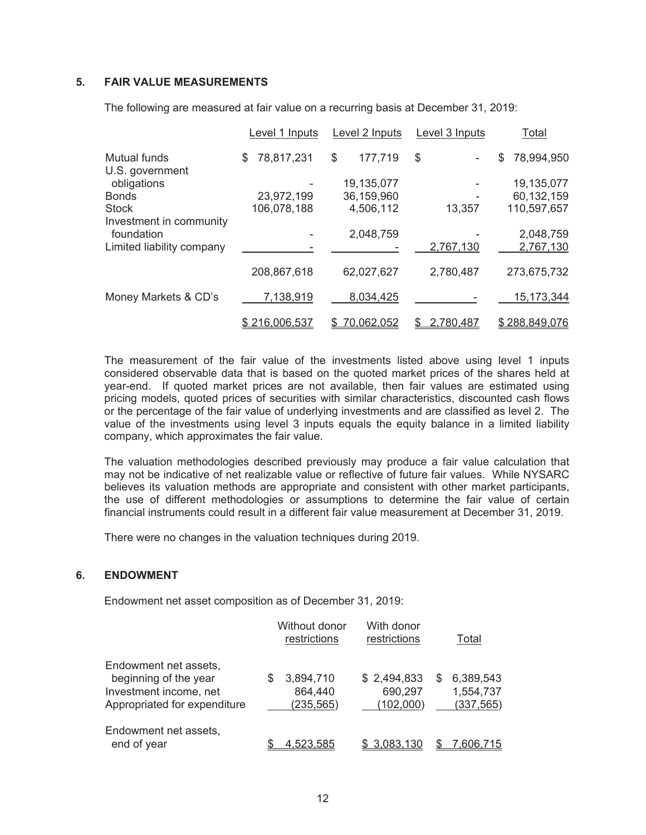### **5. FAIR VALUE MEASUREMENTS**

|                                        | Level 1 Inputs   | Level 2 Inputs | Level 3 Inputs | <b>Total</b>     |
|----------------------------------------|------------------|----------------|----------------|------------------|
| <b>Mutual funds</b><br>U.S. government | 78,817,231<br>\$ | 177,719<br>\$  | \$             | 78,994,950<br>\$ |
| obligations                            |                  | 19,135,077     |                | 19,135,077       |
| <b>Bonds</b>                           | 23,972,199       | 36,159,960     |                | 60,132,159       |
| <b>Stock</b>                           | 106,078,188      | 4,506,112      | 13,357         | 110,597,657      |
| Investment in community                |                  |                |                |                  |
| foundation                             |                  | 2,048,759      |                | 2,048,759        |
| Limited liability company              |                  |                | 2,767,130      | 2,767,130        |
|                                        |                  |                |                |                  |
|                                        | 208,867,618      | 62,027,627     | 2,780,487      | 273,675,732      |
| Money Markets & CD's                   | 7,138,919        | 8,034,425      |                | 15,173,344       |
|                                        |                  |                |                |                  |
|                                        | \$216.006.537    | 70,062.052     | 2.780.487      | \$288.849.076    |

The following are measured at fair value on a recurring basis at December 31, 2019:

The measurement of the fair value of the investments listed above using level 1 inputs considered observable data that is based on the quoted market prices of the shares held at year-end. If quoted market prices are not available, then fair values are estimated using pricing models, quoted prices of securities with similar characteristics, discounted cash flows or the percentage of the fair value of underlying investments and are classified as level 2. The value of the investments using level 3 inputs equals the equity balance in a limited liability company, which approximates the fair value.

The valuation methodologies described previously may produce a fair value calculation that may not be indicative of net realizable value or reflective of future fair values. While NYSARC believes its valuation methods are appropriate and consistent with other market participants, the use of different methodologies or assumptions to determine the fair value of certain financial instruments could result in a different fair value measurement at December 31, 2019.

There were no changes in the valuation techniques during 2019.

### **6. ENDOWMENT**

Endowment net asset composition as of December 31, 2019:

|                                                                                                          |   | Without donor<br>restrictions      | With donor<br>restrictions          |   | Total                                |
|----------------------------------------------------------------------------------------------------------|---|------------------------------------|-------------------------------------|---|--------------------------------------|
| Endowment net assets,<br>beginning of the year<br>Investment income, net<br>Appropriated for expenditure | S | 3,894,710<br>864,440<br>(235, 565) | \$2,494,833<br>690,297<br>(102,000) | S | 6,389,543<br>1,554,737<br>(337, 565) |
| Endowment net assets,<br>end of year                                                                     |   | .523.585                           |                                     |   | .606,715                             |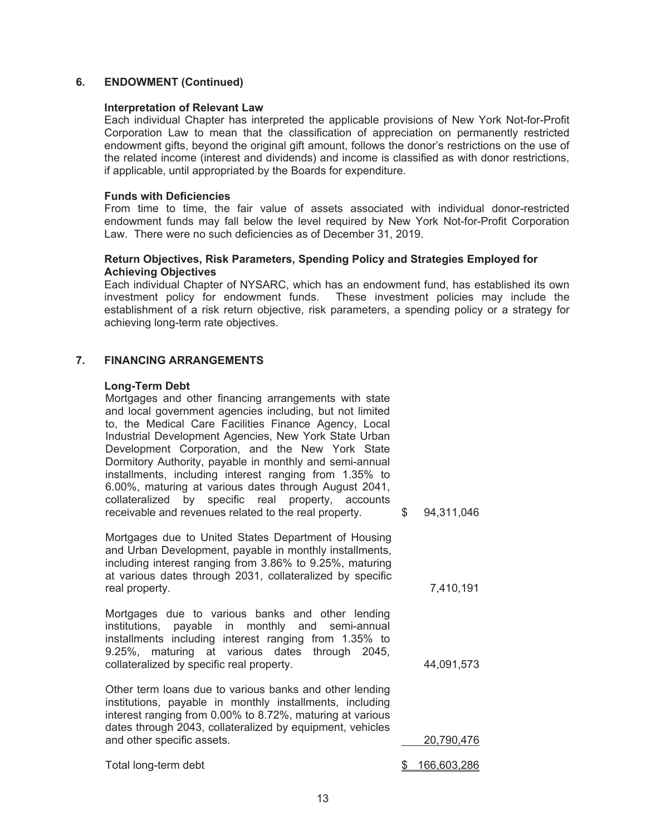### **6. ENDOWMENT (Continued)**

### **Interpretation of Relevant Law**

Each individual Chapter has interpreted the applicable provisions of New York Not-for-Profit Corporation Law to mean that the classification of appreciation on permanently restricted endowment gifts, beyond the original gift amount, follows the donor's restrictions on the use of the related income (interest and dividends) and income is classified as with donor restrictions, if applicable, until appropriated by the Boards for expenditure.

### **Funds with Deficiencies**

From time to time, the fair value of assets associated with individual donor-restricted endowment funds may fall below the level required by New York Not-for-Profit Corporation Law. There were no such deficiencies as of December 31, 2019.

### **Return Objectives, Risk Parameters, Spending Policy and Strategies Employed for Achieving Objectives**

Each individual Chapter of NYSARC, which has an endowment fund, has established its own investment policy for endowment funds. These investment policies may include the establishment of a risk return objective, risk parameters, a spending policy or a strategy for achieving long-term rate objectives.

### **7. FINANCING ARRANGEMENTS**

### **Long-Term Debt**

Mortgages and other financing arrangements with state and local government agencies including, but not limited to, the Medical Care Facilities Finance Agency, Local Industrial Development Agencies, New York State Urban Development Corporation, and the New York State Dormitory Authority, payable in monthly and semi-annual installments, including interest ranging from 1.35% to 6.00%, maturing at various dates through August 2041, collateralized by specific real property, accounts receivable and revenues related to the real property. \$ 94,311,046

Mortgages due to United States Department of Housing and Urban Development, payable in monthly installments, including interest ranging from 3.86% to 9.25%, maturing at various dates through 2031, collateralized by specific real property. The contract of the contract of the contract of the contract of the contract of the contract of the contract of the contract of the contract of the contract of the contract of the contract of the contract of

Mortgages due to various banks and other lending institutions, payable in monthly and semi-annual installments including interest ranging from 1.35% to 9.25%, maturing at various dates through 2045, collateralized by specific real property. 44,091,573

Other term loans due to various banks and other lending institutions, payable in monthly installments, including interest ranging from 0.00% to 8.72%, maturing at various dates through 2043, collateralized by equipment, vehicles and other specific assets. 20,790,476

Total long-term debt  $$ 166,603,286$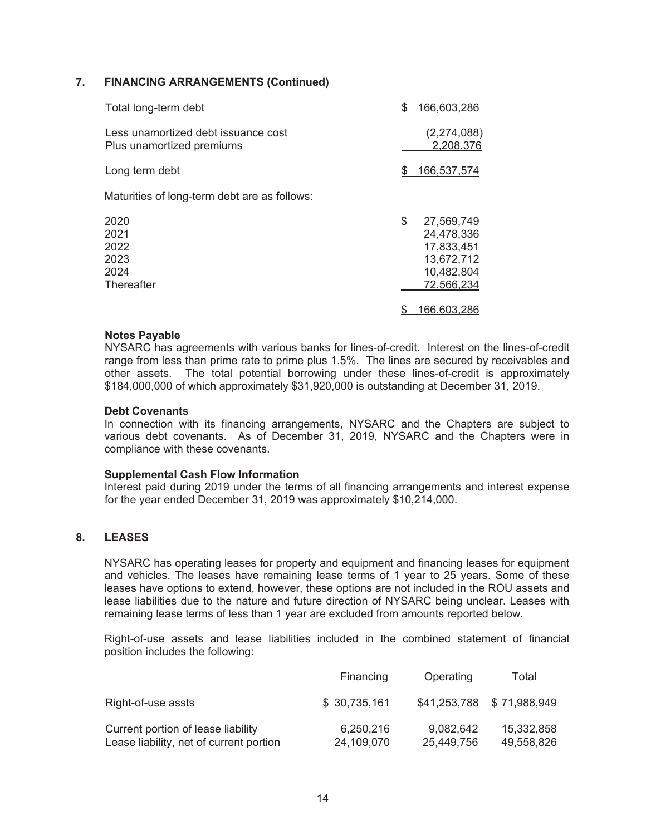### **7. FINANCING ARRANGEMENTS (Continued)**

| Total long-term debt                                             | \$<br>166,603,286                                                                      |
|------------------------------------------------------------------|----------------------------------------------------------------------------------------|
| Less unamortized debt issuance cost<br>Plus unamortized premiums | (2,274,088)<br>2,208,376                                                               |
| Long term debt                                                   | <u>166.537.574</u>                                                                     |
| Maturities of long-term debt are as follows:                     |                                                                                        |
| 2020<br>2021<br>2022<br>2023<br>2024<br>Thereafter               | \$<br>27,569,749<br>24,478,336<br>17,833,451<br>13,672,712<br>10,482,804<br>72,566,234 |
|                                                                  | 66,603,286                                                                             |

### **Notes Payable**

NYSARC has agreements with various banks for lines-of-credit. Interest on the lines-of-credit range from less than prime rate to prime plus 1.5%. The lines are secured by receivables and other assets. The total potential borrowing under these lines-of-credit is approximately \$184,000,000 of which approximately \$31,920,000 is outstanding at December 31, 2019.

### **Debt Covenants**

In connection with its financing arrangements, NYSARC and the Chapters are subject to various debt covenants. As of December 31, 2019, NYSARC and the Chapters were in compliance with these covenants.

### **Supplemental Cash Flow Information**

Interest paid during 2019 under the terms of all financing arrangements and interest expense for the year ended December 31, 2019 was approximately \$10,214,000.

### **8. LEASES**

NYSARC has operating leases for property and equipment and financing leases for equipment and vehicles. The leases have remaining lease terms of 1 year to 25 years. Some of these leases have options to extend, however, these options are not included in the ROU assets and lease liabilities due to the nature and future direction of NYSARC being unclear. Leases with remaining lease terms of less than 1 year are excluded from amounts reported below.

Right-of-use assets and lease liabilities included in the combined statement of financial position includes the following:

|                                                                               | <b>Financing</b>        | Operating               | <u>Total</u>              |
|-------------------------------------------------------------------------------|-------------------------|-------------------------|---------------------------|
| Right-of-use assts                                                            | \$30,735,161            |                         | \$41,253,788 \$71,988,949 |
| Current portion of lease liability<br>Lease liability, net of current portion | 6,250,216<br>24,109,070 | 9.082,642<br>25,449,756 | 15,332,858<br>49,558,826  |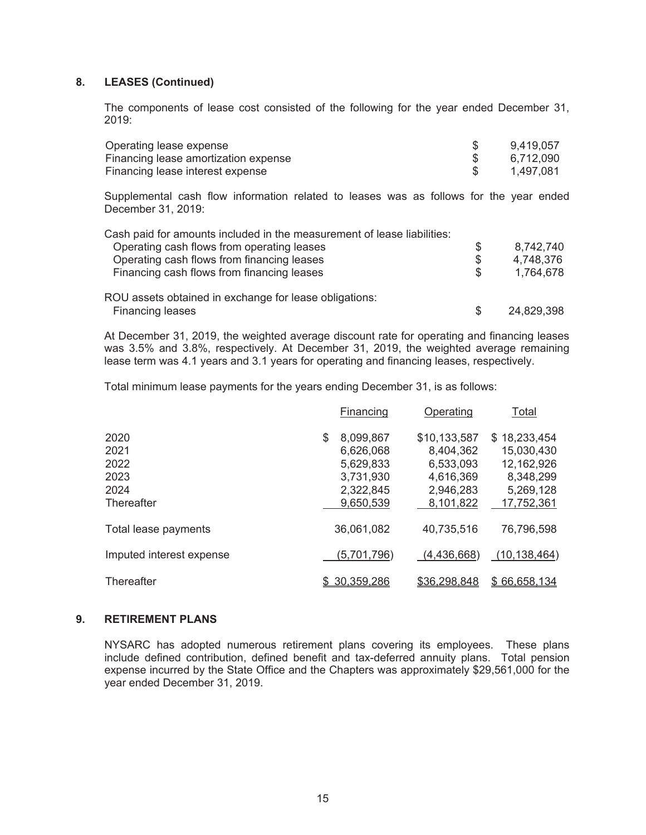### **8. LEASES (Continued)**

The components of lease cost consisted of the following for the year ended December 31, 2019:

| Operating lease expense              | 9,419,057 |
|--------------------------------------|-----------|
| Financing lease amortization expense | 6.712.090 |
| Financing lease interest expense     | 1,497,081 |

Supplemental cash flow information related to leases was as follows for the year ended December 31, 2019:

| Cash paid for amounts included in the measurement of lease liabilities: |     |            |
|-------------------------------------------------------------------------|-----|------------|
| Operating cash flows from operating leases                              | S   | 8,742,740  |
| Operating cash flows from financing leases                              | \$  | 4,748,376  |
| Financing cash flows from financing leases                              | \$. | 1,764,678  |
| ROU assets obtained in exchange for lease obligations:                  |     |            |
| Financing leases                                                        | \$. | 24,829,398 |

At December 31, 2019, the weighted average discount rate for operating and financing leases was 3.5% and 3.8%, respectively. At December 31, 2019, the weighted average remaining lease term was 4.1 years and 3.1 years for operating and financing leases, respectively.

Total minimum lease payments for the years ending December 31, is as follows:

|                          | Financing       | Operating    | Total          |
|--------------------------|-----------------|--------------|----------------|
| 2020                     | \$<br>8,099,867 | \$10,133,587 | \$18,233,454   |
| 2021                     | 6,626,068       | 8,404,362    | 15,030,430     |
| 2022                     | 5.629,833       | 6,533,093    | 12,162,926     |
| 2023                     | 3,731,930       | 4,616,369    | 8,348,299      |
| 2024                     | 2,322,845       | 2,946,283    | 5,269,128      |
| Thereafter               | 9,650,539       | 8,101,822    | 17,752,361     |
| Total lease payments     | 36,061,082      | 40,735,516   | 76,796,598     |
| Imputed interest expense | (5,701,796)     | (4,436,668)  | (10, 138, 464) |
| Thereafter               | 30.359.286      | \$36.298.848 | \$66.658.134   |

### **9. RETIREMENT PLANS**

NYSARC has adopted numerous retirement plans covering its employees. These plans include defined contribution, defined benefit and tax-deferred annuity plans. Total pension expense incurred by the State Office and the Chapters was approximately \$29,561,000 for the year ended December 31, 2019.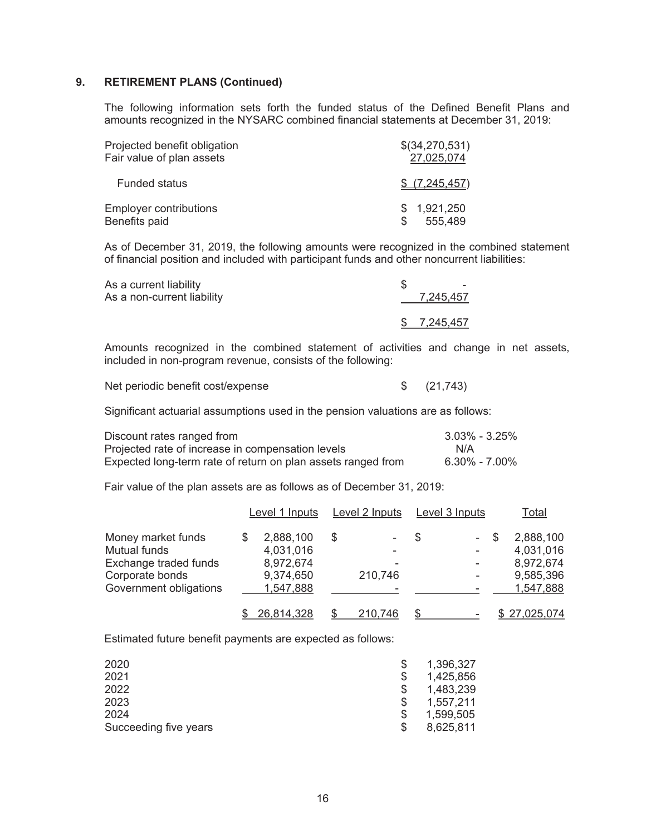### **9. RETIREMENT PLANS (Continued)**

The following information sets forth the funded status of the Defined Benefit Plans and amounts recognized in the NYSARC combined financial statements at December 31, 2019:

| Projected benefit obligation  | \$(34,270,531) |
|-------------------------------|----------------|
| Fair value of plan assets     | 27,025,074     |
| <b>Funded status</b>          | \$ (7.245.457) |
| <b>Employer contributions</b> | \$1,921,250    |
| Benefits paid                 | 555,489        |

 As of December 31, 2019, the following amounts were recognized in the combined statement of financial position and included with participant funds and other noncurrent liabilities:

| As a current liability<br>As a non-current liability | 7,245,457   |
|------------------------------------------------------|-------------|
|                                                      | \$7.245.457 |

 Amounts recognized in the combined statement of activities and change in net assets, included in non-program revenue, consists of the following:

| Net periodic benefit cost/expense |  | \$ (21,743) |
|-----------------------------------|--|-------------|
|-----------------------------------|--|-------------|

Significant actuarial assumptions used in the pension valuations are as follows:

| Discount rates ranged from                                   | $3.03\%$ - $3.25\%$ |
|--------------------------------------------------------------|---------------------|
| Projected rate of increase in compensation levels            | N/A                 |
| Expected long-term rate of return on plan assets ranged from | 6.30% - 7.00%       |

Fair value of the plan assets are as follows as of December 31, 2019:

|                        | Level 1 Inputs |   | Level 2 Inputs |   | Level 3 Inputs           | Total             |
|------------------------|----------------|---|----------------|---|--------------------------|-------------------|
| Money market funds     | 2,888,100      | S |                | S | - \$                     | 2,888,100         |
| <b>Mutual funds</b>    | 4,031,016      |   |                |   | $\overline{\phantom{a}}$ | 4,031,016         |
| Exchange traded funds  | 8,972,674      |   |                |   | $\overline{\phantom{a}}$ | 8,972,674         |
| Corporate bonds        | 9,374,650      |   | 210,746        |   | ٠                        | 9,585,396         |
| Government obligations | 1,547,888      |   |                |   |                          | 1,547,888         |
|                        | 26.814.328     |   | 210.746        |   |                          | <u>27.025.074</u> |

Estimated future benefit payments are expected as follows:

| 2020                  | 1,396,327       |
|-----------------------|-----------------|
| 2021                  | 1,425,856       |
| 2022                  | 1,483,239       |
| 2023                  | 1,557,211       |
| 2024                  | 1,599,505       |
| Succeeding five years | \$<br>8,625,811 |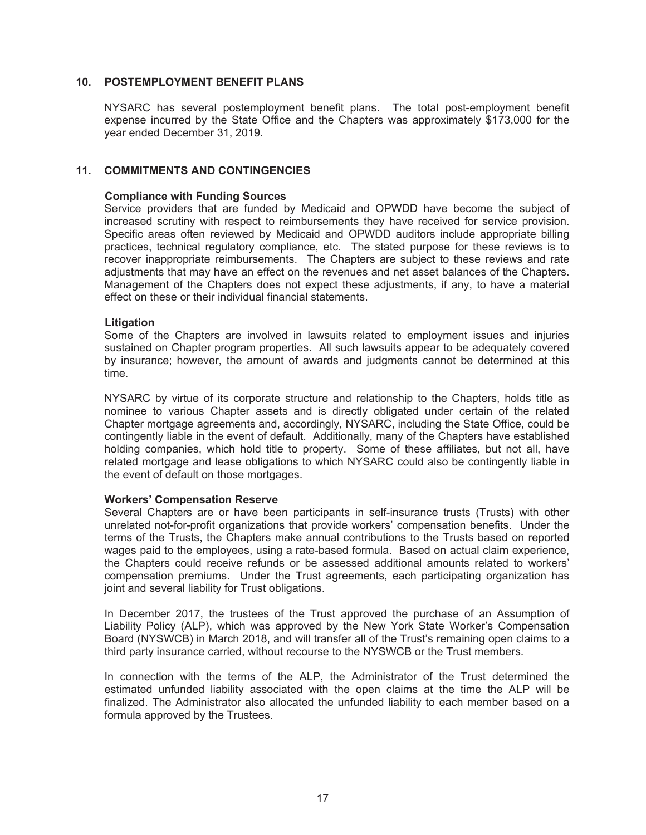### **10. POSTEMPLOYMENT BENEFIT PLANS**

NYSARC has several postemployment benefit plans. The total post-employment benefit expense incurred by the State Office and the Chapters was approximately \$173,000 for the year ended December 31, 2019.

### **11. COMMITMENTS AND CONTINGENCIES**

### **Compliance with Funding Sources**

Service providers that are funded by Medicaid and OPWDD have become the subject of increased scrutiny with respect to reimbursements they have received for service provision. Specific areas often reviewed by Medicaid and OPWDD auditors include appropriate billing practices, technical regulatory compliance, etc. The stated purpose for these reviews is to recover inappropriate reimbursements. The Chapters are subject to these reviews and rate adjustments that may have an effect on the revenues and net asset balances of the Chapters. Management of the Chapters does not expect these adjustments, if any, to have a material effect on these or their individual financial statements.

### **Litigation**

Some of the Chapters are involved in lawsuits related to employment issues and injuries sustained on Chapter program properties. All such lawsuits appear to be adequately covered by insurance; however, the amount of awards and judgments cannot be determined at this time.

NYSARC by virtue of its corporate structure and relationship to the Chapters, holds title as nominee to various Chapter assets and is directly obligated under certain of the related Chapter mortgage agreements and, accordingly, NYSARC, including the State Office, could be contingently liable in the event of default. Additionally, many of the Chapters have established holding companies, which hold title to property. Some of these affiliates, but not all, have related mortgage and lease obligations to which NYSARC could also be contingently liable in the event of default on those mortgages.

### **Workers' Compensation Reserve**

Several Chapters are or have been participants in self-insurance trusts (Trusts) with other unrelated not-for-profit organizations that provide workers' compensation benefits. Under the terms of the Trusts, the Chapters make annual contributions to the Trusts based on reported wages paid to the employees, using a rate-based formula. Based on actual claim experience, the Chapters could receive refunds or be assessed additional amounts related to workers' compensation premiums. Under the Trust agreements, each participating organization has joint and several liability for Trust obligations.

In December 2017, the trustees of the Trust approved the purchase of an Assumption of Liability Policy (ALP), which was approved by the New York State Worker's Compensation Board (NYSWCB) in March 2018, and will transfer all of the Trust's remaining open claims to a third party insurance carried, without recourse to the NYSWCB or the Trust members.

In connection with the terms of the ALP, the Administrator of the Trust determined the estimated unfunded liability associated with the open claims at the time the ALP will be finalized. The Administrator also allocated the unfunded liability to each member based on a formula approved by the Trustees.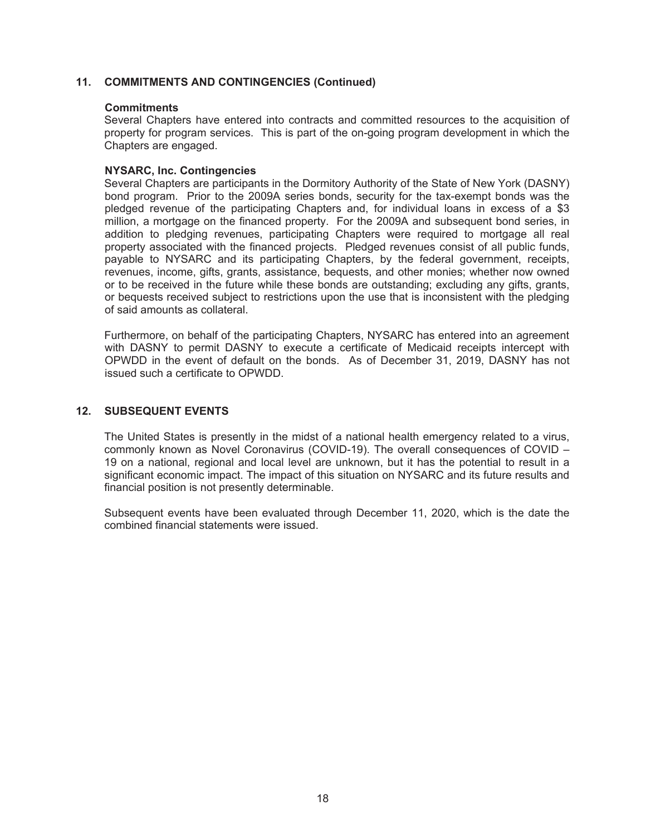### **11. COMMITMENTS AND CONTINGENCIES (Continued)**

### **Commitments**

Several Chapters have entered into contracts and committed resources to the acquisition of property for program services. This is part of the on-going program development in which the Chapters are engaged.

### **NYSARC, Inc. Contingencies**

Several Chapters are participants in the Dormitory Authority of the State of New York (DASNY) bond program. Prior to the 2009A series bonds, security for the tax-exempt bonds was the pledged revenue of the participating Chapters and, for individual loans in excess of a \$3 million, a mortgage on the financed property. For the 2009A and subsequent bond series, in addition to pledging revenues, participating Chapters were required to mortgage all real property associated with the financed projects. Pledged revenues consist of all public funds, payable to NYSARC and its participating Chapters, by the federal government, receipts, revenues, income, gifts, grants, assistance, bequests, and other monies; whether now owned or to be received in the future while these bonds are outstanding; excluding any gifts, grants, or bequests received subject to restrictions upon the use that is inconsistent with the pledging of said amounts as collateral.

Furthermore, on behalf of the participating Chapters, NYSARC has entered into an agreement with DASNY to permit DASNY to execute a certificate of Medicaid receipts intercept with OPWDD in the event of default on the bonds. As of December 31, 2019, DASNY has not issued such a certificate to OPWDD.

### **12. SUBSEQUENT EVENTS**

The United States is presently in the midst of a national health emergency related to a virus, commonly known as Novel Coronavirus (COVID-19). The overall consequences of COVID – 19 on a national, regional and local level are unknown, but it has the potential to result in a significant economic impact. The impact of this situation on NYSARC and its future results and financial position is not presently determinable.

Subsequent events have been evaluated through December 11, 2020, which is the date the combined financial statements were issued.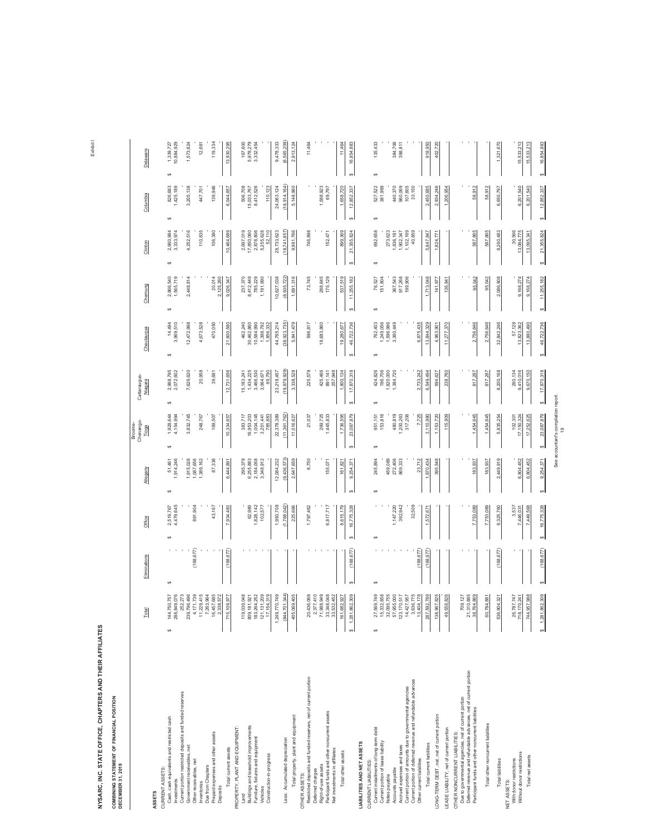### NYSARC, INC. STATE OFFICE, CHAPTERS AND THEIR AFFILIATES **NYSARC, INC. STATE OFFICE, CHAPTERS AND THEIR AFFILIATES**  NYSARC, INC. STATE OFFICE, CHAPTERS<br>COMBINING STATEMENT OF FINANCIAL POSITION<br>DECEMBER 31, 2019

**COMBINING STATEMENT OF FINANCIAL POSITION**

**DECEMBER 31, 2019**

|                                                                                                                        | Total                          | Eliminations | Office               | Allegany                 | Chenango-<br>Broome-<br>Tioga | Cattaraugus-<br>Niagara  | Chautauqua                       | Chemung                | Clinton                  | Columbia                | Delaware                     |
|------------------------------------------------------------------------------------------------------------------------|--------------------------------|--------------|----------------------|--------------------------|-------------------------------|--------------------------|----------------------------------|------------------------|--------------------------|-------------------------|------------------------------|
| ASSETS                                                                                                                 |                                |              |                      |                          |                               |                          |                                  |                        |                          |                         |                              |
| Cash, cash equivalents and restricted cash<br>CURRENT ASSETS:                                                          | 144,750,757<br>49              | $\theta$     | 2,519,767<br>မာ      | 51,461<br>1,914,246<br>ø | 1,928,644<br>↮                | 2,968,795<br>ø           | 14,494<br>3,969,510<br>ø         | 2,866,540<br>ø         | 2,660,984<br>ø           | 826,683<br>$\theta$     | 1,339,727<br>10,884,929<br>↮ |
| Current portion restricted deposits and funded reserves<br>Investments                                                 | 288,849,076<br>52,273          |              | 4,479,645            |                          | 4,154,994                     | 2,072,602                |                                  | 1,565,719              | 3,333,974                | 1,425,189               |                              |
| Government receivables, net                                                                                            | 239,796,496                    |              |                      | 1,915,028                | 3,832,745                     | 7,629,620                | 12,472,998                       | 2,448,814              | 4,252,516                | 3,205,138               | 1,573,624                    |
| Other receivables, net<br>Inventories                                                                                  | 11,229,415<br>4,171,739        | (168, 677)   | 891,904              | 1,087,656<br>1,389,162   | 248,767                       | 20,958                   | 4,673,528                        |                        | 110,835                  | 447,701                 | 12,681                       |
| Due from Chapters                                                                                                      | 7,263,964                      |              |                      |                          |                               |                          |                                  |                        |                          |                         |                              |
| Prepaid expenses and other assets<br>Deposits                                                                          | 16,457,685<br>2,338,572        |              | 43,167               | 87,338                   | 169,507                       | 39,681                   | 470,050                          | 20,014<br>2,125,260    | 106,380                  | 139,946                 | 119,334                      |
| Total current assets                                                                                                   | 715,109,977                    | (168, 677)   | 7,934,483            | 6,444,891                | 10,334,657                    | 12,731,656               | 21,600,580                       | 9,026,347              | 10,464,689               | 6,044,657               | 13,930,295                   |
| PROPERTY, PLANT AND EQUIPMENT:                                                                                         |                                |              |                      |                          |                               |                          |                                  |                        |                          |                         |                              |
| Land                                                                                                                   | 119,039,048                    |              |                      | 295,379                  | 383,717                       | 15, 183, 241             | 462,240                          | 237,370                | 2,697,019                | 506,708                 | 167,600                      |
| Buildings and leasehold improvements<br>Fumiture, fixtures and equipment                                               | 809,181,921                    |              | 62,989               | 6,255,883<br>2,184,058   | 16,953,203<br>1,004,145       | 1,434,225<br>3,466,530   | 30,462,860<br>10,584,990         | 8,412,449<br>785,229   | 2,878,806<br>17,850,060  | 8,412,526<br>15,033,767 | 5,978,279<br>3,332,454       |
| Vehicles                                                                                                               | 183,264,252<br>121,131,209     |              | 1,828,142<br>102,577 | 3,348,912                | 3,251,441                     | 3,064,671                | 1,398,792                        | 1,191,990              | 5,255,628                |                         |                              |
| Construction-in-progress                                                                                               | 17,154,319                     |              |                      |                          | 785,883                       | 69,790                   | 1,856,332                        |                        | 52,110                   | 110,123                 |                              |
|                                                                                                                        | 1,249,770,749                  |              | 1,993,708            | 12,084,232               | 22,378,389                    | 23,218,457               | 44,765,214                       | 10,627,038             | 28,733,623               | 24,063,124              | 9,478,333                    |
| Less: Accumulated depreciation                                                                                         | (844,701,344)                  |              | (1,768,042)          | (9,436,573)              | (11, 361, 762)                | (19, 879, 929)           | (38.923.735                      | (8,935,722             | (18, 741, 857)           | (18,914,164             | (6,565,209                   |
| Total property, plant and equipment                                                                                    | 405,069,405                    |              | 225,666              | 2,647,659                | 11,016,627                    | 3,338,528                | 5,841,479                        | 1,691,316              | 9,991,766                | 5,148,960               | 2,913,124                    |
| OTHER ASSETS:                                                                                                          |                                |              |                      |                          |                               |                          |                                  |                        |                          |                         |                              |
| Restricted deposits and funded reserves, net of current portion<br>Deferred charges                                    | 20,436,068<br>2,377,410        |              | 1,797,462            | 6,750                    | 21,037                        | 225,579                  | 596,817                          | 73,745                 | 746,898                  |                         | 11,464                       |
| Right-of-use assets                                                                                                    | 71,988,949                     |              |                      |                          | 269,725                       | 425,466                  | 18,683,860                       | 288,645                |                          | 1,588,923               |                              |
| Participant funds and other noncurrent assets                                                                          | 33,348,048                     |              | 6,817,717            | 155,071                  | 1,445,833                     | 891,141                  |                                  | 175,129                | 152,471                  | 69,797                  |                              |
| Net investments in affiliates                                                                                          | 33,532,452                     |              |                      |                          |                               | 257,948                  |                                  |                        |                          |                         |                              |
| Total other assets                                                                                                     | 161,682,927                    |              | 8,615,179            | 161,821                  | 1,736,595                     | 1,800,134                | 19,280,677                       | 537,519                | 899,369                  | 1,658,720               | 11,464                       |
|                                                                                                                        | \$1,281,862,309                | (168, 677)   | 16,775,328           | 9,254,371                | 23,087,879                    | 17,870,318               | 46,722,736                       | 11,255,182<br>6Ą       | 21,355,824<br>$\Theta$   | 12,852,337<br>↮         | 16,854,883<br>÷,             |
| LIABILITIES AND NET ASSETS                                                                                             |                                |              |                      |                          |                               |                          |                                  |                        |                          |                         |                              |
| CURRENT LIABILITIES:                                                                                                   |                                |              |                      |                          |                               |                          |                                  |                        |                          |                         |                              |
| Current installments of long-term debt<br>Current portion of lease liability                                           | 27,569,749<br>15,332,858<br>G) | $\theta$     | မာ                   | 245,894<br>G,            | 951,151<br>153,816<br>69      | 424,826<br>186,706<br>မာ | 762,403<br>1,249,056<br>$\theta$ | 76,527<br>151,804<br>↮ | 692,658<br>မာ            | 527,522<br>381,969<br>↮ | 135,433<br>↮                 |
| Notes payable                                                                                                          | 32,095,755                     |              |                      |                          |                               | 1,820,000<br>1,384,720   | 1,596,986                        |                        | 273,623                  |                         |                              |
| Accounts payable                                                                                                       | 57,955,000                     |              | 1,147,220            | 459,089<br>272,406       | 480,819                       |                          | 3,360,449                        | 367,543                | 1,836,191                | 440,370                 | 384,706                      |
| Accrued expenses and taxes                                                                                             | 123,170,517                    |              | 392,942              | 869,333                  | 1,200,263<br>317,206          |                          |                                  | 917,268<br>199,906     | 1,902,347<br>1,102,169   | 960,069<br>107,605      | 398,811                      |
| Current portion of deferred revenue and refundable advances<br>Current portion of amounts due to governmental agencies | 3,636,775<br>14,427,957        |              | 32,509               |                          |                               |                          |                                  |                        | 40,859                   | 33,150                  |                              |
| Other current liabilities                                                                                              | 13,404,178                     | (168, 677)   |                      | 23,712                   | 7,725                         | 2,733,242                | 6,875,435                        |                        |                          |                         |                              |
| Total current liabilities                                                                                              | 287,592,789                    | (168, 677)   | 1,572,67             | 1,870,434                | 3,110,980                     | 6,549,494                | 13,844,329                       | 1,713,048              | 5,847,847                | 2,450,685               | 918,950                      |
| LONG-TERM DEBT, net, net of current portion                                                                            | 138,967,825                    |              |                      | 395.548                  | 1,153,720                     | 594,627                  | 4,963,901                        | 141,977                | 1,824,77                 | 2,934,246               | 402,720                      |
| LEASE LIABILITY, net of current portion                                                                                | 49,558,826                     |              |                      |                          | 115,909                       | 238,760                  | 11,277,370                       | 136,841                |                          | 1,206,954               |                              |
| Due to governmental agencies, net of current portion<br>OTHER NONCURRENT LIABILITIES:                                  |                                |              |                      |                          |                               |                          |                                  |                        |                          |                         |                              |
| Deferred revenue and refundable advances, net of current portion                                                       | 709,127<br>1,310,885<br>21,31  |              |                      |                          |                               |                          |                                  |                        |                          |                         |                              |
| Participant funds and other noncurrent liabilities                                                                     | 38,764,869                     |              | 7,753,089            | 183,937                  | 1,454,645                     | 817,287                  | 2,756,646                        | 95,042                 | 587,865                  | 58,912                  |                              |
| Total other noncurrent liabilities                                                                                     | 60,784,881                     |              | 7,753,089            | 183,937                  | 1,454,645                     | 817,287                  | 2,756,646                        | 95,042                 | 587,865                  | 58,912                  |                              |
| Total liabilities                                                                                                      | 04,321<br>536,90               | (168, 677)   | 9,325,760            | 2,449,919                | 5,835,254                     | 8,200,168                | 32,842,246                       | 2,086,908              | 8,260,483                | 6,650,797               | 1,321,670                    |
| With donor restrictions<br>NET ASSETS:                                                                                 | 26,787,747<br>718,170,241      |              | 3,537<br>7,446,031   |                          | 102,301                       | 260,134                  | 57,128<br>13,823,362             |                        | 30,566                   |                         |                              |
| Without donor restrictions<br>Total net assets                                                                         | 744,957,988                    |              | 7,449,568            | 6,804,452<br>6,804,452   | 17,150,324<br>17,252,625      | 9,410,016<br>9,670,150   | 13,880,490                       | 9,168,274<br>9,168,274 | 13,064,775<br>13,095,341 | 6,201,540<br>6,201,540  | 15,533,213<br>15,533,213     |
|                                                                                                                        | 1,281,862,309<br>๛่            | (168, 677)   | 16,775,328           | 9,254,371<br>4           | 23,087,879                    | 17,870,318<br>4          | 46,722,736<br>÷.                 | 11,255,182<br>4        | 21,355,824<br>69         | 12,852,337<br>4         | 16,854,883<br>G)             |
|                                                                                                                        |                                |              |                      |                          |                               |                          |                                  |                        |                          |                         |                              |

Exhibit I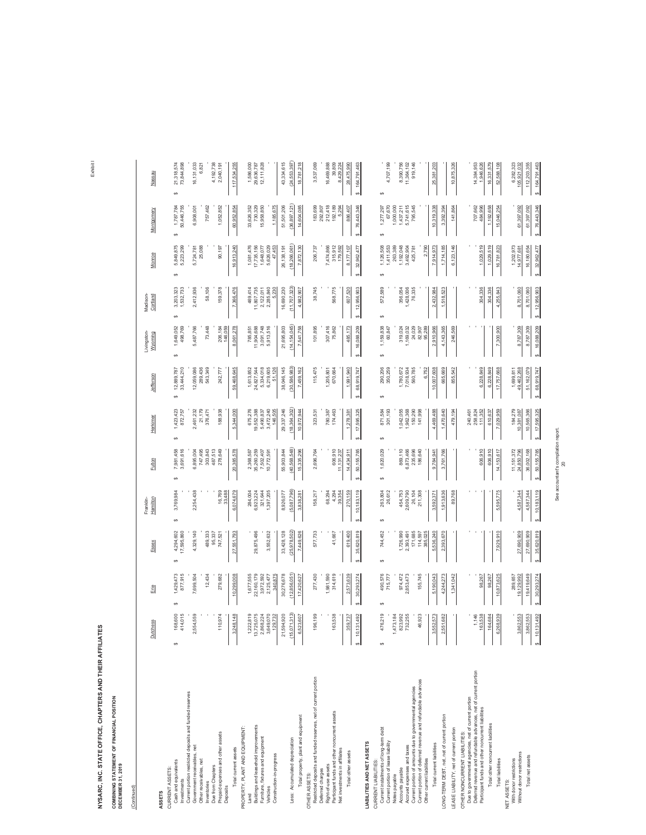**COMBINING STATEMENT OF FINANCIAL POSITION<br>DECEMBER 31, 2019 COMBINING STATEMENT OF FINANCIAL POSITION**

**DECEMBER 31, 2019**

(Continued)

(Continued)

| ASSETS                                                                                                                 | <b>Dutchess</b>                           | Erie                     | Essex                         | Hamilton<br>Franklin-   | Fulton                       | Herkimer                   | Jefferson                      | Livingston-<br>Wyoming    | Cortland<br>Madison-        | Monroe                       | Montgomery                    | Nassau        |
|------------------------------------------------------------------------------------------------------------------------|-------------------------------------------|--------------------------|-------------------------------|-------------------------|------------------------------|----------------------------|--------------------------------|---------------------------|-----------------------------|------------------------------|-------------------------------|---------------|
| Cash and equivalents<br>CURRENT ASSETS:<br>Investments                                                                 | $\frac{1}{2}$<br>015<br>414.<br>168,<br>↮ | 877,915<br>1,429,473     | 4,294,602<br>17,595,860<br>Θ, | 3,769,984<br>↮          | 7,981,458<br>3,691,616<br>G) | 1,423,423<br>872,757<br>69 | 33,444,210<br>12,889,787<br>69 | 1,649,052<br>498,769<br>↮ | 3,203,323<br>1,532,733<br>↮ | 5,849,875<br>5,223,299       | 50,446,755<br>1,787,784<br>Θ, | 69            |
| Current portion restricted deposits and funded reserves<br>Government receivables, net                                 | 2,554,559                                 | 7,699,504                | 4,329,140                     | 2,254,438               | 6,895,004                    | 461,232                    | 12,059,086                     | 5,487,766                 | 2,412,936                   | 5,724,781                    | 6,908,001                     |               |
| Other receivables, net                                                                                                 |                                           |                          |                               |                         | 747,495                      | 21,179                     | 289,436                        |                           |                             | 25,088                       |                               |               |
| Due from Chapters<br>Inventories                                                                                       |                                           | 12,434                   | 489,333<br>95,337             |                         | 303,843<br>487,513           | 376,471                    | 543,349                        | 73,448                    | 58,106                      |                              | 757,462                       |               |
| Prepaid expenses and other assets<br>Deposits                                                                          | 110,974                                   | 279,682                  | 747,521                       | 16,769<br>33,488        | 278,649                      | 188,938                    | 242,777                        | 146,059<br>206,184        | 159,378                     | 90,197                       | 1,052,852                     |               |
| Total current assets                                                                                                   | 148<br>3,248,                             | 10,299,008               | 27,551,793                    | 6,074,679               | 20,385,578                   | 5,344,000                  | 59,468,645                     | 8,061,278                 | 7,366,476                   | 16,913,240                   | 60,952,854                    |               |
| PROPERTY, PLANT AND EQUIPMENT:                                                                                         |                                           |                          |                               |                         |                              |                            |                                |                           |                             |                              |                               |               |
| Land                                                                                                                   | 819<br>1,222,                             | 1,677,555                |                               | 284,004                 | 2,368,587                    | 675,276                    | 1,613,852                      | 785,851                   | 469,414                     | 1,081,476                    | 33,626,352                    |               |
| Buildings and leasehold improvements                                                                                   | 13,725,075                                | 22,160,179               | 29,875,496                    | 6,923,224               | 35,260,259                   | 19,552,388                 | 24,827,544                     | 11,904,688                | 11,807,735                  | 17,735,156                   | 730,329                       |               |
| Furniture, fixtures and equipment<br>Vehicles                                                                          | 224<br>070<br>2,868<br>3,649,             | 3,972,592<br>2,125,477   | 3,552,632                     | 321,644<br>1,397,205    | 7,502,407<br>10,772,591      | 3,472,240<br>5,490,837     | 5,334,018<br>6,219,605         | 3,091,748<br>5,913,516    | 2,122,011<br>2,285,840      | 5,626,029<br>1,648,077       | 15,958,850                    |               |
| Construction-in-progress                                                                                               | 732<br>129                                | 340,875                  |                               |                         |                              | 146,505                    | 51,126                         |                           | 5,230                       | 47,453                       | 1,185,675                     |               |
|                                                                                                                        | 920<br>21,594,                            | 30,276,678               | 33,428,128                    | 8,926,077               | 55,903,844                   | 29, 337, 246               | 38,046,145                     | 21,695,803                | 16,690,230                  | 26, 138, 191                 | 51,501,206                    |               |
| Less: Accumulated depreciation                                                                                         | 313<br>(15,071                            | (12,856,051)             | (25,978,502)                  | (5,087,796)             | (40,568,548)                 | (18, 364, 302)             | (30, 586, 983)                 | (14, 154, 045)            | (11,707,323)                | (18, 266, 061)               | (36, 897, 121)                |               |
| Total property, plant and equipment                                                                                    | 607<br>6,523,                             | 17,420,627               | 7,449,626                     | 3,838,28                | 15,335,296                   | 10,972,944                 | 7,459,162                      | 7,541,758                 | 4,982,907                   | 7,872,130                    | 14,604,085                    |               |
| Restricted deposits and funded reserves, net of current portion<br>OTHER ASSETS:                                       | 199<br>196,                               | 277,430                  | 577,733                       | 158,217                 | 2,696,764                    | 323,531                    | 115,475                        | 101,895                   | 38,745                      | 206,737                      | 183,699                       |               |
| Deferred charges                                                                                                       |                                           |                          |                               |                         |                              |                            |                                |                           |                             |                              | 292,807                       |               |
| Participant funds and other noncurrent assets<br>Right-of-use assets                                                   | 538<br>163,                               | 1,981,590<br>314,619     | 41,667                        | 68,294                  | 606,910                      | 780,387<br>174,463         | 1,205,801<br>670,664           | 307,416<br>75,862         | 568,775                     | 7,474,866<br>315,912         | 212,418<br>192,189            |               |
| Net investments in affiliates                                                                                          |                                           |                          |                               | 4,294<br>39,354         | 11,131,237                   |                            |                                |                           |                             | 179,592                      | 5,294                         |               |
| Total other assets                                                                                                     | 737<br>359,                               | 2,573,639                | 619,400                       | 270,159                 | 14,434,911                   | 1,278,38                   | 1,991,940                      | 485,173                   | 607,520                     | 8,177,107                    | 886,407                       |               |
|                                                                                                                        | 492<br>\$10,131                           | 30,293,274               | 35,620,819                    | 10,183,119<br>$\theta$  | 50,155,785<br>$\theta$       | 17,595,325<br>$\Theta$     | 68,919,747                     | 16,088,209<br>$\theta$    | 12,956,903<br>ω,            | 32,962,477                   | 76,443,346<br>Ψ,              |               |
| LIABILITIES AND NET ASSETS                                                                                             |                                           |                          |                               |                         |                              |                            |                                |                           |                             |                              |                               |               |
| CURRENT LIABILITIES:                                                                                                   |                                           |                          |                               |                         |                              |                            |                                |                           |                             |                              |                               |               |
| Current installments of long-term debt<br>Current portion of lease liability                                           | 219<br>476,<br>Ψ                          | 490,576<br>715,777<br>မာ | 744,452<br>69                 | 26,612<br>263,804<br>မာ | 1,620,029<br>69              | 301,193<br>871,584<br>49   | 290,206<br>350,259<br>69       | 1,159,838<br>60,847<br>Ψ  | 572,589<br>$\Theta$         | 1,411,553<br>1,126,508<br>မာ | 67,670<br>1,277,297<br>69     | မာ            |
| Notes payable                                                                                                          | 184<br>1,473,                             |                          |                               |                         |                              |                            |                                |                           |                             | 263,389                      | 1,000,000                     |               |
| Accounts payable                                                                                                       | 992<br>823,                               | 974,472                  | 1,726,990                     |                         | 869,110                      |                            |                                | 319,024                   | 356,054                     | 1,192,048                    | 1,437,211                     |               |
| Accrued expenses and taxes                                                                                             | 255<br>732.                               | 2,853,473                | 2,393,491                     | 454,753<br>2,609,790    | 6,873,466                    | 1,042,055<br>1,962,368     | 1,780,672<br>7,018,934         | 1,169,032                 | 1,428,006                   | 3,492,904                    | 5,741,615                     |               |
| Current portion of amounts due to governmental agencies                                                                |                                           |                          | 171,685                       | 26,104                  | 235,696                      | 150,290                    | 560,785                        | 24,029                    | 76,335                      | 425,781                      | 795,545                       |               |
| Current portion of deferred revenue and refundable advances<br>Other current liabilities                               | 923<br>46.                                | 155,745                  | 385,025<br>114,597            | 211,308                 | 186,640                      | 141,998                    | 6,752                          | 95,289<br>82,907          |                             | 2,790                        |                               |               |
| Total current liabilities                                                                                              | 573<br>3,552                              | 5,190,043                | 5,536,240                     | 3,592,37                | 9,784,941                    | 4,469,488                  | 10,007,608                     | 2,910,966                 | 2,432,984                   | 7,914,973                    | 10,319,338                    |               |
| LONG-TERM DEBT, net, net of current portion                                                                            | 682<br>2,551                              | 4,244,273                | 2,393,670                     | 1,913,636               | 3,761,766                    | 1,470,640                  | 665,669                        | 4, 143, 365               | 1,518,523                   | 1,714,185                    | 3,392,394                     |               |
| LEASE LIABILITY, net of current portion                                                                                |                                           | 1,341,042                |                               | 89,768                  |                              | 479,194                    | 855,542                        | 246,569                   |                             | 6,123,146                    | 141,864                       |               |
| Due to governmental agencies, net of current portion<br>OTHER NONCURRENT LIABILITIES:                                  |                                           |                          |                               |                         |                              | 240,461                    |                                |                           |                             |                              |                               |               |
| Deferred revenue and refundable advances, net of current portion<br>Participant funds and other noncurrent liabilities | 146<br>538<br>163,                        | 98,267                   |                               |                         | 606,910                      | 258,824<br>111,352         | 6,228,849                      |                           | 304,336                     | 1,029,519                    | 707,662<br>484,996            |               |
| Total other noncurrent liabilities                                                                                     | 164,684                                   | 98,267                   |                               |                         | 606,910                      | 610,637                    | 6,228,849                      |                           | 304,336                     | 1,029,519                    | 1,192,658                     |               |
| <b>Total liabilities</b>                                                                                               | 939<br>6,268,                             | 10,873,625               | 7,929,910                     | 5,595,775               | 14,153,617                   | 7,029,959                  | 17,757,668                     | 7,300,900                 | 4,255,843                   | 16,781,823                   | 15,046,254                    |               |
| With donor restrictions<br>NET ASSETS:                                                                                 |                                           | 289,657                  |                               |                         |                              | 184,279                    | 1,699,811                      |                           |                             | 1,202,973                    |                               |               |
| Without donor restrictions                                                                                             | 553<br>3,862.                             | 19,129,992               | 27,690,909                    | 4,587,344               | 11,151,372<br>24,850,796     | 10,381,087                 | 49,462,268                     | 8,787,309                 | 8,701,060                   | 14,977,681                   | 61,397,092                    |               |
| Total net assets                                                                                                       | 553<br>3,862                              | 19,419,649               | 27,690,909                    | 4,587,344               | 36,002,168                   | 10,565,366                 | 51, 162, 079                   | 8,787,309                 | 8,701,060                   | 16,180,654                   | 61,397,092                    |               |
|                                                                                                                        | 492<br>\$10,131,                          | 30,293,274               | \$35,620,819                  | 10,183,119<br>↮         | 50,155,785<br>ø              | 17,595,325<br>÷,           | 68,919,747                     | 16,088,209<br>69          | 12,956,903<br>4             | 32,962,477                   | \$76,443,346                  | \$164,791,463 |

See accountant's compilation report. See accountant's compilation report.<br>20

Exhibit I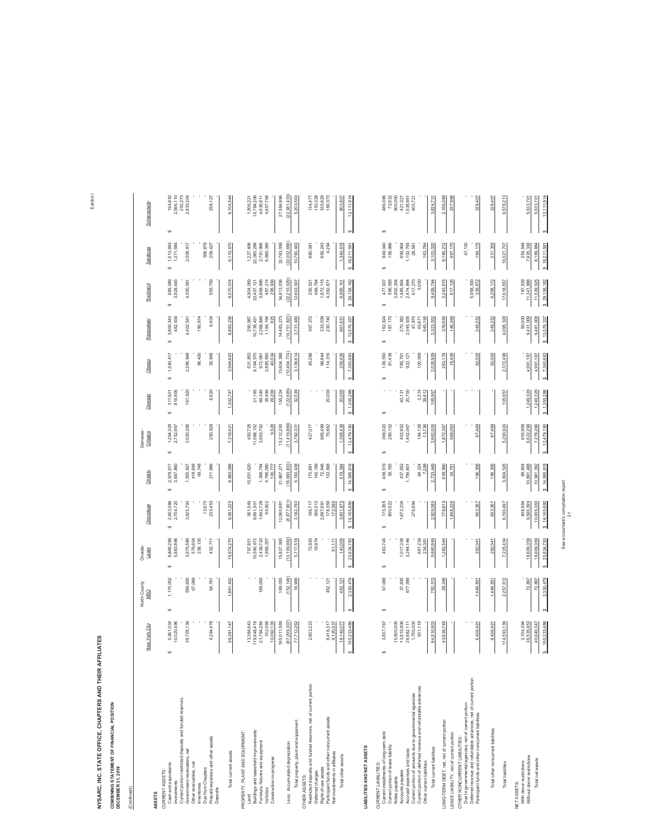COMBINING STATEMENT OF FINANCIAL POSITION<br>DECEMBER 31, 2019 **COMBINING STATEMENT OF FINANCIAL POSITION**

**DECEMBER 31, 2019**

| (Continued)                                                                                                                                          |                                                                                                 |                               |                                                 |                                                  |                                                 |                                                 |                                     |                                     |                                     |                                                                                                                                         |                                                   |                                                                                                                    |
|------------------------------------------------------------------------------------------------------------------------------------------------------|-------------------------------------------------------------------------------------------------|-------------------------------|-------------------------------------------------|--------------------------------------------------|-------------------------------------------------|-------------------------------------------------|-------------------------------------|-------------------------------------|-------------------------------------|-----------------------------------------------------------------------------------------------------------------------------------------|---------------------------------------------------|--------------------------------------------------------------------------------------------------------------------|
|                                                                                                                                                      | New York City                                                                                   | North County<br>MSO           | One ida-<br>Lewis                               | Onondaga                                         | Ontario                                         | Genesee-<br>Orleans                             | Oswego                              | Otsego                              | Rensselaer                          | Rockland                                                                                                                                | Saratoga                                          | Schenectady                                                                                                        |
| Cash and equivalents<br>CURRENT ASSETS:<br>Investments<br>ASSETS                                                                                     | 5,361,034<br>10,020,496<br>s                                                                    | 1,170,002<br>s                | 8,866,288<br>5,883,896<br>s                     | 2,453,586<br>2,754,720<br>s                      | 3,647,860<br>2,978,917<br>s                     | 1,294,329<br>2,752,997<br>S                     | 317,601<br>816,906<br>s             | 1,540,417<br>s                      | 3,800,543<br>482,934<br>s           | 685,089<br>3,828,645<br>s                                                                                                               | 1,513,663<br>1,371,684<br>$\omega$                | 2,566,110<br>194,830<br>s                                                                                          |
| Current portion restricted deposits and funded reserves<br>Government receivables, net                                                               | 39,705,139                                                                                      | 559,600                       | 3,975,586                                       | 3,925,793                                        |                                                 | 3,020,266                                       | 161,620                             | 2,296,948                           | 4,402,541                           | 4,500,581                                                                                                                               | 2,508,917                                         | 252,273<br>2,833,204                                                                                               |
| Other receivables, net<br>Inventories                                                                                                                |                                                                                                 | 67,089                        | 236,135<br>579,654                              |                                                  | 1,555,927<br>418,648<br>69,748                  |                                                 |                                     | 96,430                              | 190,814                             |                                                                                                                                         |                                                   |                                                                                                                    |
| Prepaid expenses and other assets<br>Due from Chapters<br>Deposits                                                                                   | 4,294,478                                                                                       | 64,761                        | 432,711                                         | 13,673<br>233,453                                | 211,986                                         | 250,829                                         | 6,620                               | 30,848                              | 6,404                               | 555,759                                                                                                                                 | 506,879<br>209,427                                | 258,127                                                                                                            |
| Total current assets                                                                                                                                 | 59,381,147                                                                                      | 1,861,452                     | 19,974,270                                      | 9,381,225                                        | 8,883,086                                       | 7,318,421                                       | 1,302,747                           | 3,964,643                           | ,236<br>8,883                       | 570,074<br>ெ                                                                                                                            | ,110,570<br>6                                     | 544<br>6,104,                                                                                                      |
| Buildings and leasehold improvements<br>PROPERTY, PLANT AND EQUIPMENT:<br>Furniture, fixtures and equipment<br>Land                                  | 13,384,643<br>119,648,418<br>21,784,284                                                         | 169,055                       | 797,851<br>10,590,672<br>2,439,720<br>1,999,257 | 361,549<br>9,691,501<br>1,942,729<br>64,902      | 15,631,620                                      | 450,728<br>11,088,152<br>3,663,792              | 21,185<br>66,340                    | 531,853<br>9,164,570<br>972,081     | 10,738,421<br>2,268,846<br>290,987  | 4,904,069<br>23,457,121<br>5,668,696                                                                                                    | 1,227,406<br>22,083,298<br>2,791,966              | 1,506,221<br>16,784,206<br>4,636,811                                                                               |
| Construction-in-progress<br>Vehicles                                                                                                                 | 10,092,135                                                                                      |                               |                                                 |                                                  | 1,368,794<br>4,766,080<br>100,777               | 9.528                                           | 38,499<br>29,200                    | 2,895,850<br>40,034                 | 1,184,194<br>825                    | 487,214<br>295,936                                                                                                                      | 6,660,389                                         | 4,657,758                                                                                                          |
| Less: Accumulated depreciation                                                                                                                       | (87,299,307<br>165,011,569                                                                      | (152, 149)<br>169,055         | 10,109,982<br>15,827,500                        | (8,877,901)<br>12,060,68                         | (16, 683, 833)<br>21,867,271                    | 11,419,869<br>15,212,200                        | (122, 685)<br>155,224               | (10,464,774)<br>13,604,388          | (10, 751, 823)<br>14,483,273        | (22, 210, 029)<br>34,813,036                                                                                                            | (22,002,656)<br>32,763,059                        | 27,584,996<br>(22, 381, 433)                                                                                       |
| Total property, plant and equipment                                                                                                                  | 77,712,262                                                                                      | 16,906                        | 5,717,518                                       | 3,182,780                                        | 5,183,438                                       | 3,792,33                                        | 32,539                              | 3,139,614                           | 3,731,450                           | 12,603,007                                                                                                                              | 10,760,403                                        | 5,203,563                                                                                                          |
| Restricted deposits and funded reserves, net of current portion<br>Deferred charges<br>OTHERASSETS:                                                  | 2,603,223                                                                                       |                               | 72,920<br>18,974                                | 186,717<br>366,513                               |                                                 | 427,077                                         |                                     | 45,266                              | 397,372                             | 250,521<br>469,794                                                                                                                      | 680,081                                           | 134,477<br>153,328                                                                                                 |
| Participant funds and other noncurrent assets<br>Right-of-use assets                                                                                 | 6,416,317<br>9,120,537                                                                          | 452, 121                      | 51,111                                          | 178,359<br>172,595<br>2,697,691                  | 170,691<br>142,189<br>72,946<br>133,568         | 865,499<br>75,862                               | 20,000                              | 99,844<br>114,316                   | 333,539<br>230,740                  | 1,872,115<br>4,392,671                                                                                                                  | 656,243<br>4,294                                  | 335,629<br>180,373                                                                                                 |
| Net investments in affiliates<br>Total other assets                                                                                                  | 18,140,077                                                                                      | 452,121                       | 143,005                                         | 3,601,875                                        | 519,394                                         | 1,368,438                                       | 20,000                              | 259,426                             | 961,651                             | 6,985,101                                                                                                                               | 1,340,618                                         | 803,807                                                                                                            |
|                                                                                                                                                      | 155,233,486                                                                                     | 2,330,479                     | 25,834,793                                      | 16,165,880                                       | 14,585,918<br><b>SO</b>                         | 12,479,190                                      | 1,355,286                           | 7,363,683                           | \$13,576,337                        | 29, 158, 182<br>$\omega$                                                                                                                | 18,211,59<br>$\omega$                             | 12,111,914                                                                                                         |
| LIABILITIES AND NET ASSETS                                                                                                                           |                                                                                                 |                               |                                                 |                                                  |                                                 |                                                 |                                     |                                     |                                     |                                                                                                                                         |                                                   |                                                                                                                    |
| Current installments of long-term debt<br>Current portion of lease liability<br>CURRENT LIABILITIES:                                                 | 3,837,767<br>S                                                                                  | 67,089<br>$\omega$            | 463,745<br>S                                    | 175,365<br>800,522<br>S                          | 409,519<br>38,165<br>S                          | 369,020<br>280,102                              | S                                   | 139,550<br>81,438<br>S              | 187,170<br>162,824<br>Ś,            | S                                                                                                                                       | 949,040<br>158,966<br>S                           | $\begin{array}{r} 48,096 \\ 72,632 \\ 72,632 \\ 900,000 \\ 421,321 \\ 1538,961 \\ 405,721 \end{array}$<br>$\omega$ |
| Accounts payable<br>Notes payable                                                                                                                    |                                                                                                 | 37,835<br>677,589             | 1,017,338<br>3,264,146                          | 673,304                                          | 437,552<br>1,756,601                            | 402,952                                         | 43,131<br>20,700                    | 785,791<br>922,121                  | 270,382                             |                                                                                                                                         |                                                   |                                                                                                                    |
| Current portion of amounts due to governmental agencies<br>Current portion of deferred revenue and refundable advances<br>Accrued expenses and taxes | $\begin{array}{c} 15,500,000 \\ 13,815,906 \\ 28,682,111 \\ 1,750,000 \\ 1,750,000 \end{array}$ |                               |                                                 | 279,894                                          |                                                 | 194,128<br>1,402,067                            |                                     | 100,009                             | 2,045,935<br>47,875<br>63,671       | $\begin{array}{r} 477,937 \\ 596,585 \\ 2,802,204 \\ 1,485,854 \\ 2,474,894 \\ 617,270 \\ 617,270 \\ 617,270 \\ 617,270 \\ \end{array}$ | 699,904<br>1,102,765<br>28,581                    |                                                                                                                    |
| Total current liabilities<br>Other current liabilities                                                                                               | 64,516,903                                                                                      | 782,51                        | 681,239<br>234,381<br>5,660,849                 | 2,929,085                                        | 84,324<br>7,288<br>2,733,449                    | 13,736<br>2,662,005                             | 2,314<br>39,812<br>105,957          | 2,028,909                           | 545,195<br>3,323,052                | 8,459,744                                                                                                                               | 163,764<br>3,103,020                              | 3,824,73                                                                                                           |
| LONG-TERM DEBT, net, net of current portion                                                                                                          | 43,639,745                                                                                      | 28,248                        | 1,282,544                                       | 779,819<br>1,848,226                             | 639,990<br>34,781                               | 569,063<br>1,872,387                            |                                     | 263,176<br>18,406                   | 376,655<br>146,369                  | 2,243,615<br>617,126                                                                                                                    | 6,190,212<br>497,170                              | 2,166,089<br>386<br>257                                                                                            |
| Due to governmental agencies, net of current portion<br>LEASE LIABILITY, net of current portion<br>OTHER NONCURRENT LIABILITIES:                     |                                                                                                 |                               |                                                 |                                                  |                                                 |                                                 |                                     |                                     |                                     |                                                                                                                                         | 47,130                                            |                                                                                                                    |
| Deferred revenue and refundable advances, net of current portion<br>Participant funds and other noncurrent liabilities                               | 6,436,491                                                                                       | 1,446,851                     | 282,041                                         | 603,367                                          | 196,306                                         | 97,469                                          |                                     | 62,005                              | 249,252                             | 5,958,300<br>339,872                                                                                                                    | 184,175                                           | 329,407                                                                                                            |
| Total other noncurrent liabilities                                                                                                                   | 6,436,491                                                                                       | 1,446,85                      | 282,041                                         | 367<br>603,                                      | 196,306                                         | 97,469                                          |                                     | 62,005                              | 249,252                             | 6,298,172                                                                                                                               | 231,305                                           | 329,407                                                                                                            |
| Total liabilities                                                                                                                                    | 114,593,139                                                                                     | 2,257,612                     | 7,225,434                                       | 6,160,497                                        | 3,604,526                                       | 5,200,924                                       | 105,957                             | 2,372,496                           | 4,095,328                           | 17,618,657                                                                                                                              | 10,021,707                                        | 6,578,213                                                                                                          |
| Without donor restrictions<br>Total net assets<br>With donor restrictions<br>NET ASSETS:                                                             | 155,233,486<br>2,104,394<br>38,535,953<br>40,640,347                                            | 72,867<br>2,330,479<br>72,867 | 18,609,359<br>18,609,359<br>25,834,793          | 408,984<br>9,596,399<br>10,005,383<br>16,165,880 | 89,904<br>0,891,488<br>10,981,392<br>14,585,918 | 655,968<br>6,622,298<br>7,278,266<br>12,479,190 | 1,249,329<br>1,249,329<br>1,355,286 | 4,991,187<br>4,991,187<br>7,363,683 | 9,481,009<br>50,000<br>\$13,576,337 | 11,539,525<br>\$29,158,182<br>197,539<br>11,341,986                                                                                     | 254,548<br>7,935,336<br>8,189,884<br>\$18,211,591 | 5,533,701<br>12,111,914<br>5,533,701                                                                               |

Exhibit I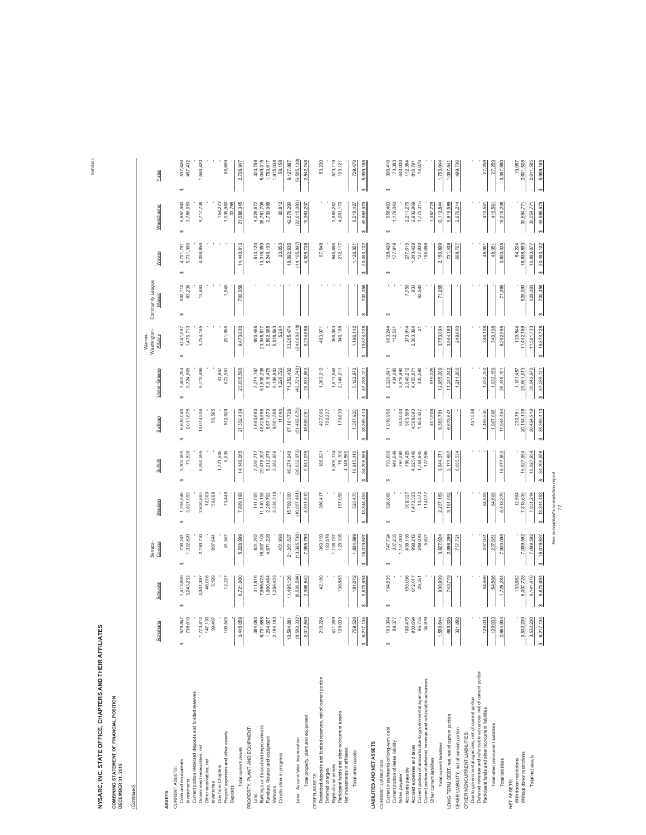**COMBINING STATEMENT OF FINANCIAL POSITION<br>DECEMBER 31, 2019 COMBINING STATEMENT OF FINANCIAL POSITION**

**DECEMBER 31, 2019**

(Continued)

(Continued)

|                                                                                                                          | Schoharie                           | Schuyler              | Cayuga<br>Seneca-       | Steuben                 | Suffolk                 | Sullivan                | Ulster-Greene                      | Washington-<br>Warren-<br><b>Albany</b> | Community League<br>Wassic | Wayne                                | Westchester             | Yates                   |
|--------------------------------------------------------------------------------------------------------------------------|-------------------------------------|-----------------------|-------------------------|-------------------------|-------------------------|-------------------------|------------------------------------|-----------------------------------------|----------------------------|--------------------------------------|-------------------------|-------------------------|
| ASSETS                                                                                                                   |                                     |                       |                         |                         |                         |                         |                                    |                                         |                            |                                      |                         |                         |
| Cash and equivalents<br>CURRENT ASSETS:                                                                                  | 579,847<br>$\omega$                 | 1,412,609<br>G)       | 736,241<br>Θ,           | 1,295,846<br>G)         | 3,702,690<br>G)         | 6,678,045<br>G)         | 3,485,764<br>9,724,868<br>$\omega$ | 4,041,097<br>↮                          | 602,112<br>O)              | 4,701,791<br>5,731,366<br>$\epsilon$ | 5,857,960<br>$\epsilon$ | 537,426<br><sub>c</sub> |
| Investments                                                                                                              | 738,61                              | 3,243,232             | ,322,820                | 3,827,053               | 73,536                  | 2,011,675               |                                    | 1,476,713                               | 83,238                     |                                      | 3,788,650               | 457,432                 |
| Current portion restricted deposits and funded reserves<br>Government receivables, net                                   | $\overline{\mathbf{C}}$<br>1,773,4' | 2,001,397             | 2,190,730               | 2,620,663               | 8,592,595               | 12,074,506              | 9,710,466                          | 3,754,165                               | 13,463                     | 4,006,856                            | 9,717,738               | 1,646,420               |
| Other receivables, net                                                                                                   | 147,130                             | 46,016                |                         | 12,300                  |                         |                         |                                    |                                         |                            |                                      |                         |                         |
| Inventories                                                                                                              | 99,497                              | 5,599                 | 897,641                 | 59,888                  |                         | 55,585                  |                                    |                                         |                            |                                      |                         |                         |
| Prepaid expenses and other assets<br>Due from Chapters                                                                   | 106,563                             | 12,227                | 81,567                  | 73,449                  | $1,771,605$<br>$8,639$  | 512,628                 | 41,947<br>672,551                  | 201,955                                 | 1,545                      |                                      | 154,272<br>1,535,960    | 85,669                  |
| Deposits                                                                                                                 |                                     |                       |                         |                         |                         |                         |                                    |                                         |                            |                                      | 33,765                  |                         |
| Total current assets                                                                                                     | 3,445,059                           | 6,721,080             | 5,228,999               | 7,889,199               | 14, 149, 065            | 21,332,439              | 23,635,596                         | 9,473,930                               | 700,358                    | 14,440,013                           | 21,088,345              | 2,726,947               |
| PROPERTY, PLANT AND EQUIPMENT:                                                                                           |                                     |                       |                         |                         |                         |                         |                                    |                                         |                            |                                      |                         |                         |
| Land                                                                                                                     | 384,083                             | 311,816               | 831,202                 | 141,000                 | 2,230,717               | 1,690,660               | 3,274,167                          | 900,465                                 |                            | 513,120                              | 4,026,672               | 323,759                 |
| Buildings and leasehold improvements<br>Furniture, fixtures and equipment                                                | 6,791,688<br>1,234,927              | ,966,423<br>1,960,464 | 15,397,103<br>4,671,229 | 11,140,198<br>2,269,792 | 5,212,078<br>29,478,397 | 48,826,558<br>6,671,873 | 51,635,236<br>5,916,476            | 23,948,817<br>2,892,365                 |                            | 13,316,359<br>5,240,103              | 35,781,708<br>2,739,098 | 5,049,315<br>1,783,617  |
| Vehicles                                                                                                                 | 2,184,183                           | 1,256,423             |                         | 2,238,310               | 3,352,856               | 9,981,585               | 9,199,803                          | 5,518,563                               |                            |                                      |                         | 1,915,038               |
| Construction-in-progress                                                                                                 |                                     |                       | 451,993                 |                         |                         | 11,050                  | 1,226,720                          | 5,264                                   |                            | 23,053                               | 30,812                  | 56,158                  |
|                                                                                                                          | 10,594,881                          | 11,495,126            | 21,351,527              | 15,789,300              | 40,274,048              | 67, 181, 726            | 71,252,402                         | 33,265,474                              |                            | 19,092,635                           | 42,578,290              | 9, 127, 887             |
| Less: Accumulated depreciation                                                                                           | (8, 582, 332)                       | (8,526,584)           | (13, 365, 738)          | (10, 857, 481)          | (30,632,972)            | (51,492,675)            | (42, 721, 749)                     | (24, 060, 818)                          |                            | (14, 165, 897)                       | (22, 615, 083)          | (6,585,139)             |
| Total property, plant and equipment                                                                                      | 2,012,549                           | 2,968,542             | 7,985,789               | 4,931,819               | 9,641,076               | 15,689,051              | 28,530,653                         | 9,204,656                               |                            | 4,926,738                            | 19,963,207              | 2,542,748               |
| OTHER ASSETS:                                                                                                            |                                     |                       |                         |                         |                         |                         |                                    |                                         |                            |                                      |                         |                         |
| Restricted deposits and funded reserves, net of current portion                                                          | 219,224                             | 42,189                | 363,199                 | 366,417                 | 188,621                 | 427,066<br>750,227      | 1,363,012                          | 483,97                                  |                            | 67,548                               |                         | 53,230                  |
| Deferred charges                                                                                                         | 411,269                             |                       | 183,578<br>1,128,787    |                         |                         |                         | 1,611,849                          | 366,063                                 |                            | 846,686                              |                         | 573,119                 |
| Participant funds and other noncurrent assets<br>Right-of-use assets                                                     | 129,033                             | 138,883               | 129,335                 | 157,058                 | 6,505,134<br>76,100     | 170,630                 | 2,148,011                          | 346,108                                 |                            | 212,117                              | 3,855,257<br>4,663,170  | 103,121                 |
| Net investments in affiliates                                                                                            |                                     |                       |                         |                         | 4,145,560               |                         |                                    |                                         |                            |                                      |                         |                         |
| Total other assets                                                                                                       | 759,526                             | 181,072               | 1,804,899               | 523,475                 | 10,915,415              | 1,347,923               | 5, 122, 872                        | 1, 196, 142                             |                            | 1,126,351                            | 8,518,427               | 729,470                 |
|                                                                                                                          | \$6,217,134                         | 9,870,694             | 15,019,687              | 13,344,493              | 34,705,556              | 38,369,413              | 57,289,12<br>ω,                    | 19,874,728                              | 700,358                    | 20,493,102                           | 49,569,979<br>ø         | 5,999,165               |
| LIABILITIES AND NET ASSETS                                                                                               |                                     |                       |                         |                         |                         |                         |                                    |                                         |                            |                                      |                         |                         |
| CURRENT LIABILITIES:                                                                                                     |                                     |                       |                         |                         |                         |                         |                                    |                                         |                            |                                      |                         |                         |
| Current installments of long-term debt                                                                                   | 183,364<br>↮                        | 134,535<br>Ġ,         | 747,724<br>Ġ,           | 326,868<br>Ġ,           | 733,656<br>ŧ,           | 1,018,956<br>Ġ,         | 2,220,641<br>$\Theta$              | 963,244<br>Ψ                            | ŧ,                         | 128,420<br>€,                        | 558,463<br>$\Theta$     | 306,410<br>Ψ            |
| Current portion of lease liability<br>Notes payable                                                                      | 89,37                               |                       | 337,235<br>1,151,000    |                         | 948,649<br>797,290      | 800,000                 | 434,680<br>2,818,990               | 112,531                                 |                            | 177,919                              | 1,179,043               | 73,383<br>440,000       |
| Accounts payable                                                                                                         | 196,475                             | 155,036               | 438,156                 | 309,327                 | 796,425                 | 903,599                 | 2,040,212                          | 373,914                                 | 7,750                      | 277,615                              | 2,211,276               | 112,384                 |
| Accrued expenses and taxes                                                                                               | 950,694                             | 612,017               | 998,212                 | 1,473,525               | 4,625,440               | 4,588,893               | 4,455,871                          | 2,303,384                               | 933                        | 243,429                              | 2,932,969               | 816,791                 |
| Current portion of amounts due to governmental agencies                                                                  | 95,755                              | 29,351                | 249,070                 | 13,372                  | 1,764,945               | 1,650,427               | 405,590                            | 짆                                       | 62,582                     | 127,830                              | 1,773,315               | 14,076                  |
| Current portion of deferred revenue and refundable advances                                                              | 34,979                              |                       | 5,627                   | 114,077                 | 177,966                 |                         |                                    |                                         |                            | 195,686                              |                         |                         |
| Other current liabilities                                                                                                |                                     |                       |                         |                         |                         | 401.906                 | 579.025                            |                                         |                            |                                      | 1,457,778               |                         |
| Total current liabilities                                                                                                | 1,550,644                           | 930,939               | 3.927.024               | 2,237,169               | 9,844,37                | 9,363,781               | 12.955.009                         | 3.753.094                               | 71,265                     | 2,150,899                            | 10, 112, 844            | 1.763,044               |
| LONG-TERM DEBT, net, net of current portion                                                                              | 683,335                             | 743,779               | 2,998,299               | 3,191,502               | 2,177,697               | 6,673,647               | 11,247,042                         | 3,944,193                               |                            | 731,408                              | 5,815,589               | 1,097,541               |
| LEASE LIABILITY, net of current portion                                                                                  | 321,892                             |                       | 757,721                 |                         | 6,055,534               |                         | 1,211,950                          | 249,600                                 |                            | 668,767                              | 2,676,214               | 499,736                 |
| OTHER NONCURRENT LIABILITIES:                                                                                            |                                     |                       |                         |                         |                         |                         |                                    |                                         |                            |                                      |                         |                         |
| Deferred revenue and refundable advances, net of current portion<br>Due to governmental agencies, net of current portion |                                     |                       |                         |                         |                         | 421,536                 |                                    |                                         |                            |                                      |                         |                         |
| Participant funds and other noncurrent liabilities                                                                       | 129,033                             | 54,566                | 237,051                 | 84,608                  |                         | 1,485,530               | 1,032,150                          | 346,108                                 |                            | 48,951                               | 410,561                 | 27,259                  |
| Total other noncurrent liabilities                                                                                       | 129,033                             | 54,566                | 237,051                 | 84,608                  |                         | 1,907,066               | 1,032,150                          | 346,108                                 |                            | 48,951                               | 410,561                 | 27,259                  |
| <b>Total liabilities</b>                                                                                                 | 2,684,904                           | 1,729,284             | 7,920,095               | 5,513,279               | 18,077,602              | 17,944,494              | 26,446,151                         | 8,292,995                               | 71,265                     | 3,600,025                            | 19,015,208              | 3,387,580               |
| NET ASSETS:                                                                                                              |                                     |                       |                         |                         |                         |                         |                                    |                                         |                            |                                      |                         |                         |
| Without donor restrictions<br>With donor restrictions                                                                    | ଞ୍ଜା<br>3,532,2                     | 8,007,728<br>133,682  | 7,099,592               | 12,584<br>7,818,630     | 16,627,954              | 20, 194, 138<br>230,781 | 29,661,513<br>1,181,457            | 11,442,189<br>139,544                   | 629,093                    | 54,224<br>16,838,853                 | 30,554,771              | 10,057<br>2,601,528     |
| Total net assets                                                                                                         | $\mathsf{S}$<br>3,532.2             | 8,141,410             | 7,099,592               | 7,831,214               | 16,627,954              | 20,424,919              | 30,842,970                         | 11,581,733                              | 629,093                    | 16,893,077                           | 30,554,771              | 2,611,585               |
|                                                                                                                          | \$6,217,134                         | 9,870,694             | 15,019,687              | \$ 13,344,493           | 34,705,556              | 38,369,413              | 57,289,121                         | \$ 19,874,728                           | 700,358                    | \$20,493,102                         | \$49,569,979            | 5,999,165               |
|                                                                                                                          |                                     |                       |                         |                         |                         |                         |                                    |                                         |                            |                                      |                         |                         |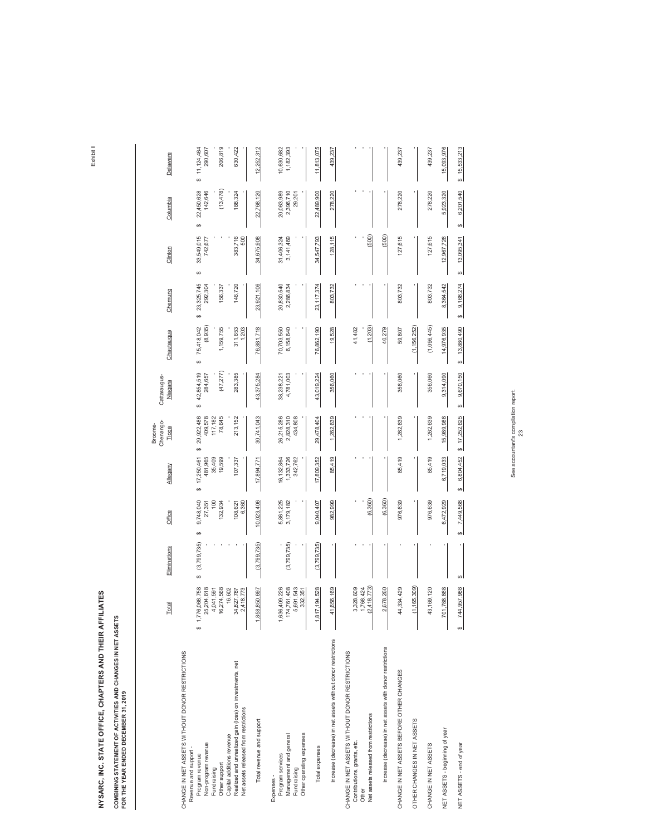### COMBINING STATEMENT OF ACTIVITIES AND CHANGES IN NET ASSETS<br>FOR THE YEAR ENDED DECEMBER 31, 2019 **COMBINING STATEMENT OF ACTIVITIES AND CHANGES IN NET ASSETS**

**FOR THE YEAR ENDED DECEMBER 31, 2019**

| Clinton<br>Chemung<br>Chautauqua<br>Cattaraugus-<br>Niagara | 69<br>33,549,015<br>742,677<br>69<br>23,325,745<br>292,304<br>156,337<br>မာ<br>75,418,042<br>(8, 935)<br>1,159,755<br>မာ<br>(47, 277)<br>\$42,854,519<br>284,657 | 383,716<br>500<br>146,720<br>311,653<br>1,203<br>283,385                                                                      | 34,675,908<br>23,921,106<br>76,881,718<br>43,375,284 | 3,141,469<br>31,406,324<br>20,830,540<br>2,286,834<br>70,703,550<br>6,158,640<br>4,781,003<br>38,238,221 | ,547,793<br>æ,<br>23, 117, 374<br>76,862,190<br>43,019,224 | 128,115<br>803,732<br>19,528<br>356,060                      | (500)<br>(1, 203)<br>41,482                                                                                                      | (500)<br>40,279                                           | 127,615<br>803,732<br>59,807<br>356,060   | (1, 156, 252)               | 127,615<br>803,732<br>(1,096,445)<br>356,060 | 12,967,726<br>8,364,542<br>14,976,935<br>9,314,090 | ↮<br>13,095,341<br>↮<br>9,168,274<br>\$<br>13,880,490<br>↮<br>9,670,150<br>↮ |
|-------------------------------------------------------------|------------------------------------------------------------------------------------------------------------------------------------------------------------------|-------------------------------------------------------------------------------------------------------------------------------|------------------------------------------------------|----------------------------------------------------------------------------------------------------------|------------------------------------------------------------|--------------------------------------------------------------|----------------------------------------------------------------------------------------------------------------------------------|-----------------------------------------------------------|-------------------------------------------|-----------------------------|----------------------------------------------|----------------------------------------------------|------------------------------------------------------------------------------|
| Chenango-<br>Broome-<br>Tioga<br>Allegany                   | 78,645<br>29,922,486<br>409,578<br>117,182<br>မာ<br>481,965<br>35,409<br>19,599<br>17,250,461<br>မာ                                                              | 213,152<br>107,337                                                                                                            | 30,741,043<br>17,894,771                             | 26,215,286<br>2,828,310<br>434,808<br>16,132,864<br>1,333,726<br>342,762                                 | 29,478,404<br>17,809,352                                   | 1,262,639<br>85,419                                          |                                                                                                                                  |                                                           | 1,262,639<br>85,419                       |                             | 1,262,639<br>85,419                          | 15,989,986<br>6,719,033                            | \$17,252,625<br>6,804,452<br>↮                                               |
| Office<br>Eliminations                                      | 9,748,040<br>100<br>132,934<br>27,351<br>69<br>(3,799,735)                                                                                                       | 108,621<br>6,360                                                                                                              | 10,023,406<br>(3,799,735)                            | 5,861,225<br>3,179,182<br>(3,799,735)                                                                    | 9,040,407<br>(3,799,735)                                   | 982,999                                                      | (6, 360)                                                                                                                         | (6, 360)                                                  | 976,639                                   |                             | 976,639                                      | 6,472,929                                          | 7,449,568<br>↮                                                               |
| Total                                                       | မာ<br>066,758<br>204,618<br>274,568<br>041,591<br>\$1,776<br>25,<br>4.6                                                                                          | 16,602<br>827,787<br>418,773<br>34,<br>$\mathbf{a}$                                                                           | 850,697<br>1,858,                                    | 761,408<br>691,543<br>409,226<br>332,351<br>1,636,<br>174,<br><u>ဟ</u>                                   | 194,528<br>1,817,                                          | 656,169<br>4,                                                | 418,773)<br>328,609<br>768,424<br>ო<br><u>ୁ</u>                                                                                  | 678,260<br>$\sim$                                         | 334,429<br>4                              | 165,309)<br>Ξ               | 169,120<br>$\ddot{a}$                        | 788,868<br>701,                                    | ↮<br>,957,988<br>744,<br>↮                                                   |
|                                                             | CHANGE IN NET ASSETS WITHOUT DONOR RESTRICTIONS<br>Non-program revenue<br>Revenue and support -<br>Program revenue<br>Other support<br>Fundraising               | Realized and unrealized gain (loss) on investments, net<br>Net assets released from restrictions<br>Capital additions revenue | Total revenue and support                            | Other operating expenses<br>Management and general<br>Program services<br>Fundraising<br>Expenses -      | Total expenses                                             | Increase (decrease) in net assets without donor restrictions | CHANGE IN NET ASSETS WITHOUT DONOR RESTRICTIONS<br>Net assets released from restrictions<br>Contributions, grants, etc.<br>Other | Increase (decrease) in net assets with donor restrictions | CHANGE IN NET ASSETS BEFORE OTHER CHANGES | OTHER CHANGES IN NET ASSETS | CHANGE IN NET ASSETS                         | NET ASSETS - beginning of year                     | NET ASSETS - end of year                                                     |

See accountant's compilation report. See accountant's compilation report.<br>23

Exhibit II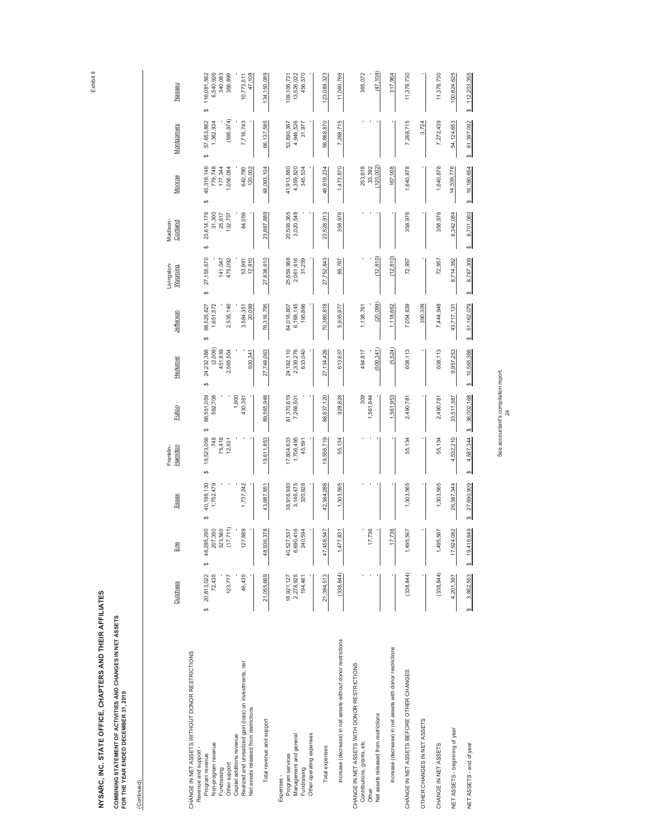COMBINING STATEMENT OF ACTIVITIES AND CHANGES IN NET ASSETS<br>FOR THE YEAR ENDED DECEMBER 31, 2019 **COMBINING STATEMENT OF ACTIVITIES AND CHANGES IN NET ASSETSFOR THE YEAR ENDED DECEMBER 31, 2019**

(Continued) (Continued)

|                                                                                                                                                                                                                                                                                     | Dutchess                                              | Erie                                                                                    | Essex                                      | Franklin-<br>Hamilton                             | Fulton                                    | Herkimer                                                       | Jefferson                                                        | -ivingston-<br>Wyoming                                    | Madison-<br>Cortland                                      | Monroe                                                                   | Montgomery                                               | Nassau                                                                             |
|-------------------------------------------------------------------------------------------------------------------------------------------------------------------------------------------------------------------------------------------------------------------------------------|-------------------------------------------------------|-----------------------------------------------------------------------------------------|--------------------------------------------|---------------------------------------------------|-------------------------------------------|----------------------------------------------------------------|------------------------------------------------------------------|-----------------------------------------------------------|-----------------------------------------------------------|--------------------------------------------------------------------------|----------------------------------------------------------|------------------------------------------------------------------------------------|
| CHANGE IN NET ASSETS WITHOUT DONOR RESTRICTIONS<br>Realized and unrealized gain (loss) on investments, net<br>Net assets released from restrictions<br>Capital additions revenue<br>Non-program revenue<br>Revenue and support -<br>Program revenue<br>Other support<br>Fundraising | 72,435<br>20,813,022<br>46,435<br>123,777<br>$\theta$ | 711)<br>290<br>560<br>,350<br>889<br>48,295,<br>207,<br>323,<br>(17,<br>127<br>$\omega$ | 40,198,130<br>1,737,242<br>1,752,479<br>69 | 69<br>19,523,056<br>748<br>75,418<br>12,631<br>မာ | 88,551,059<br>582,708<br>1,800<br>430,381 | (2,009)<br>24,232,388<br>451,839<br>2,565,504<br>500,341<br>မာ | 68,525,627<br>1,651,572<br>2,535,146<br>20,099<br>3,584,351<br>↮ | 27,155,670<br>12,810<br>475,092<br>141,047<br>53,991<br>↮ | 23,614,176<br>31,300<br>84,059<br>25,617<br>132,737<br>69 | 45,319,146<br>779,748<br>177,344<br>640,780<br>120,002<br>,056,084<br>Ġ9 | (595, 974)<br>57,653,882<br>7,716,743<br>1,362,934<br>69 | 6,540,926<br>116,081,562<br>340,083<br>366,899<br>47,108<br>10,773,511<br>$\theta$ |
| Total revenue and support                                                                                                                                                                                                                                                           | 21,055,669                                            | 378<br>48,936,                                                                          | 43,687,851                                 | 19,611,853                                        | 565,948<br>89                             | 27,748,063                                                     | 76,316,795                                                       | 27,838,610                                                | 23,887,889                                                | 48,093,104                                                               | 66,137,585                                               | 134,150,089                                                                        |
| Other operating expenses<br>Management and general<br>Program services<br>Fundraising<br>Expenses -                                                                                                                                                                                 | 2,278,925<br>18,921,127<br>194,461                    | 6,690,416<br>537<br>594<br>40,527,<br>240,                                              | 3,146,475<br>38,916,983<br>320,828         | 17,804,633<br>1,706,495<br>45,591                 | 81,370,619<br>7,266,501                   | 24, 162, 110<br>2,339,276<br>633,040                           | 6,168,145<br>64,016,807<br>195,866                               | 25,659,968<br>2,061,616<br>31,259                         | 20,508,365<br>3,020,548                                   | 41,913,880<br>4,359,820<br>345,534                                       | 4,946,526<br>53,890,367<br>31,977                        | 456,570<br>13,526,022<br>109, 106, 731                                             |
| Total expenses                                                                                                                                                                                                                                                                      | 21,394,513                                            | 547<br>47,458,                                                                          | 42,384,286                                 | 19,556,719                                        | 88,637,120                                | 27,134,426                                                     | 70,380,818                                                       | 27,752,843                                                | ,528,913<br>23,                                           | 46,619,234                                                               | 58,868,870                                               | 123,089,323                                                                        |
| Increase (decrease) in net assets without donor restrictions                                                                                                                                                                                                                        | (338, 844)                                            | 831<br>1,477                                                                            | 1,303,565                                  | 55,134                                            | 928,828                                   | 613,637                                                        | 5,935,977                                                        | 85,767                                                    | 358,976                                                   | 1,473,870                                                                | 7,268,715                                                | 11,060,766                                                                         |
| CHANGE IN NET ASSETS WITH DONOR RESTRICTIONS<br>Net assets released from restrictions<br>Contributions, grants, etc.<br>Other                                                                                                                                                       |                                                       | 736<br>17,                                                                              |                                            |                                                   | 309<br>1,561,644                          | (500, 341)<br>494,817                                          | (20, 099)<br>1,138,76                                            | (12, 810)                                                 |                                                           | (120, 002)<br>253,618<br>33,392                                          |                                                          | (47, 108)<br>365,072                                                               |
| Increase (decrease) in net assets with donor restrictions                                                                                                                                                                                                                           |                                                       | 736<br>H                                                                                |                                            |                                                   | 1,561,953                                 | (5, 524)                                                       | 1,118,662                                                        | (12, 810)                                                 |                                                           | 167,008                                                                  |                                                          | 317,964                                                                            |
| CHANGE IN NET ASSETS BEFORE OTHER CHANGES                                                                                                                                                                                                                                           | (338, 844)                                            | 567<br>1,495,                                                                           | 1,303,565                                  | 55,134                                            | 2,490,78                                  | 608,113                                                        | 7,054,639                                                        | 72,957                                                    | 358,976                                                   | 1,640,878                                                                | 7,268,715                                                | 11,378,730                                                                         |
| OTHER CHANGES IN NET ASSETS                                                                                                                                                                                                                                                         |                                                       |                                                                                         |                                            |                                                   |                                           |                                                                | 390,309                                                          |                                                           |                                                           |                                                                          | 3,724                                                    |                                                                                    |
| CHANGE IN NET ASSETS                                                                                                                                                                                                                                                                | (338, 844)                                            | 567<br>1,495,                                                                           | 1,303,565                                  | 55,134                                            | 2,490,781                                 | 608,113                                                        | 7,444,948                                                        | 72,957                                                    | 358,976                                                   | 1,640,878                                                                | 7,272,439                                                | 11,378,730                                                                         |
| NET ASSETS - beginning of year                                                                                                                                                                                                                                                      | 4,201,397                                             | 082<br>17,924,                                                                          | 26,387,344                                 | 4,532,210                                         | 33,511,387                                | 9,957,253                                                      | 43,717,131                                                       | 8,714,352                                                 | 8,342,084                                                 | 14,539,776                                                               | 54,124,653                                               | 100,824,625                                                                        |
| NET ASSETS - end of year                                                                                                                                                                                                                                                            | 3,862,553<br>↮                                        | 649<br>19,419,<br>Ø                                                                     | 27,690,909<br>↮                            | မာ<br>4,587,344<br>↮                              | 36,002,168                                | 10,565,366<br>↮                                                | 51,162,079<br>↮                                                  | 8,787,309<br>4                                            | 8,701,060<br>↮                                            | 16,180,654<br>↮                                                          | 61,397,092<br>↮                                          | \$12,203,355                                                                       |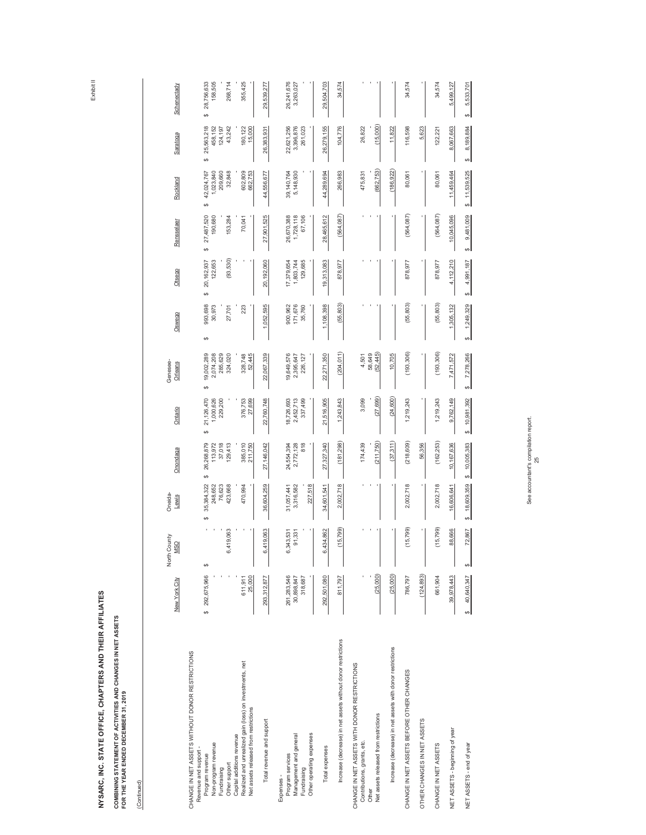COMBINING STATEMENT OF ACTIVITIES AND CHANGES IN NET ASSETS<br>FOR THE YEAR ENDED DECEMBER 31, 2019 **COMBINING STATEMENT OF ACTIVITIES AND CHANGES IN NET ASSETSFOR THE YEAR ENDED DECEMBER 31, 2019**

(Continued) (Continued)

| Schenectady                | 28,756,633<br>158,505<br>268,714<br>355,425<br>မာ                                                                                                                                                                                                                                   | 29,539,277                | 26,241,676<br>3,263,027                                                                             | 29,504,703                 | 34,574                                                       |                                                                                                                               |                                                           | 34,574                                    |                             | 34,574               | 5,499,127                      | 5,533,701<br>69          |
|----------------------------|-------------------------------------------------------------------------------------------------------------------------------------------------------------------------------------------------------------------------------------------------------------------------------------|---------------------------|-----------------------------------------------------------------------------------------------------|----------------------------|--------------------------------------------------------------|-------------------------------------------------------------------------------------------------------------------------------|-----------------------------------------------------------|-------------------------------------------|-----------------------------|----------------------|--------------------------------|--------------------------|
| Saratoga                   | 25,563,218<br>458,152<br>43,242<br>180, 122<br>15,000<br>124,197<br>မာ                                                                                                                                                                                                              | 26,383,931                | 22,621,256<br>3,396,876<br>261,023                                                                  | 26,279,155                 | 104,776                                                      | (15,000)<br>26,822                                                                                                            | 11,822                                                    | 116,598                                   | 5,623                       | 122,221              | 8,067,663                      | 8,189,884<br>69          |
| Rockland                   | 602,809<br>1,023,840<br>209,660<br>32,848<br>662,753<br>42,024,767<br>မာ                                                                                                                                                                                                            | 44,556,677                | 39, 140, 764<br>5,148,930                                                                           | 44,289,694                 | 266,983                                                      | (662, 753)<br>475,831                                                                                                         | (186, 922)                                                | 80,061                                    |                             | 80,061               | 11,459,464                     | \$11,539,525             |
| Rensselaer                 | 27,487,520<br>190,680<br>153,284<br>70,041<br>မာ                                                                                                                                                                                                                                    | 27,901,525                | 26,670,388<br>1,728,118<br>67,106                                                                   | 28,465,612                 | (564, 087)                                                   |                                                                                                                               |                                                           | (564, 087)                                |                             | (564, 087)           | 10,045,096                     | 9,481,009<br>ఱ           |
| Otsego                     | (93, 530)<br>122,653<br>20,162,937<br>မာ                                                                                                                                                                                                                                            | 20,192,060                | 129,685<br>17,379,654<br>1,803,744                                                                  | 19,313,083                 | 878,977                                                      |                                                                                                                               |                                                           | 878,977                                   |                             | 878,977              | 4,112,210                      | 4,991,187<br>69          |
| Oswego                     | 993,698<br>30,973<br>223<br>27,701<br>↮                                                                                                                                                                                                                                             | 1,052,595                 | 900,962<br>171,676<br>35,760                                                                        | 1,108,398                  | (55, 803)                                                    |                                                                                                                               |                                                           | (55, 803)                                 |                             | (55, 803)            | 1,305,132                      | 1,249,329<br>↮           |
| Genesee-<br>Orleans        | 19,002,289<br>2,074,208<br>285,629<br>52,445<br>324,020<br>328,748<br>မာ                                                                                                                                                                                                            | 22,067,339                | 19,649,576<br>2,395,647<br>226,127                                                                  | 22,271,350                 | (204, 011)                                                   | (52, 445)<br>58,649<br>4,501                                                                                                  | 10,705                                                    | (193, 306)                                |                             | (193, 306)           | 7,471,572                      | 7,278,266<br>↮           |
| Ontario                    | 21,126,470<br>1,000,626<br>229,200<br>376,753<br>27,699<br>မာ                                                                                                                                                                                                                       | 22,760,748                | 18,726,693<br>2,452,713<br>337,499                                                                  | 21,516,905                 | 1,243,843                                                    | (27, 699)<br>3,099                                                                                                            | (24, 600)                                                 | 1,219,243                                 |                             | 1,219,243            | 9,762,149                      | 10,981,392<br>اھە        |
| Onondaga                   | 26,268,879<br>37,018<br>113,972<br>129,413<br>385,010<br>211,750<br>မာ                                                                                                                                                                                                              | 27,146,042                | 818<br>24,554,394<br>2,772,128                                                                      | 27,327,340                 | (181, 298)                                                   | (211,750)<br>174,439                                                                                                          | (37, 311)                                                 | (218, 609)                                | 56,356                      | (162, 253)           | 10, 167, 636                   | \$10,005,383             |
| Oneida-<br>Lewis           | 35,384,322<br>248,652<br>76,623<br>470,994<br>423,668<br>↮                                                                                                                                                                                                                          | 36,604,259                | 227,518<br>3,316,582<br>31,057,441                                                                  | 34,601,541                 | 2,002,718                                                    |                                                                                                                               |                                                           | 2,002,718                                 |                             | 2,002,718            | 16,606,641                     | 18,609,359<br>69         |
| North County<br><b>MSO</b> | 6,419,063<br>↮                                                                                                                                                                                                                                                                      | 6,419,063                 | 6,343,531<br>91,331                                                                                 | 134,862<br>$6\overline{4}$ | (15, 799)                                                    |                                                                                                                               |                                                           | (15, 799)                                 |                             | (15, 799)            | 88,666                         | 72,867<br>↮              |
| New York City              | 292,675,966<br>611,911<br>25,000<br>မာ                                                                                                                                                                                                                                              | 293,312,877               | 261,283,546<br>30,898,847<br>318,687                                                                | 292,501,080                | 811,797                                                      | (25,000)                                                                                                                      | (25,000)                                                  | 786,797                                   | (124, 893)                  | 661,904              | 39,978,443                     | 40,640,347<br>لم         |
|                            | CHANGE IN NET ASSETS WITHOUT DONOR RESTRICTIONS<br>Realized and unrealized gain (loss) on investments, net<br>Net assets released from restrictions<br>Capital additions revenue<br>Non-program revenue<br>Revenue and support -<br>Program revenue<br>Other support<br>Fundraising | Total revenue and support | Other operating expenses<br>Management and general<br>Program services<br>Fundraising<br>Expenses - | Total expenses             | Increase (decrease) in net assets without donor restrictions | CHANGE IN NET ASSETS WITH DONOR RESTRICTIONS<br>Net assets released from restrictions<br>Contributions, grants, etc.<br>Other | Increase (decrease) in net assets with donor restrictions | CHANGE IN NET ASSETS BEFORE OTHER CHANGES | OTHER CHANGES IN NET ASSETS | CHANGE IN NET ASSETS | NET ASSETS - beginning of year | NET ASSETS - end of year |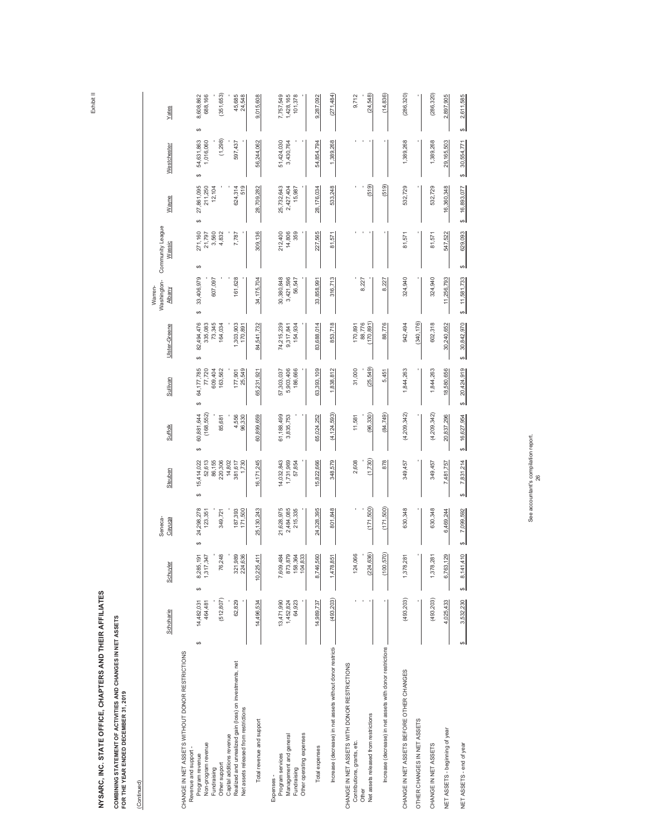| <b>Service Service</b>                                      |
|-------------------------------------------------------------|
| í                                                           |
| F<br>ï                                                      |
| j<br>l                                                      |
| ֖֧֦֧֦֧֦֧ׅ֧֧ׅ֧֧ׅ֧֛֛֪֪֪֧֚֚֚֚֚֚֚֚֚֚֚֚֚֚֚֚֚֬֜֡֜֓֡֡֬֝֬֜֓֝֬֜<br>í |
| ï<br>I                                                      |
| ¢<br>i<br>í                                                 |
| í                                                           |

### COMBINING STATEMENT OF ACTIVITIES AND CHANGES IN NET ASSETS<br>FOR THE YEAR ENDED DECEMBER 31, 2019 **COMBINING STATEMENT OF ACTIVITIES AND CHANGES IN NET ASSETS**

**FOR THE YEAR ENDED DECEMBER 31, 2019**

|                                                                                                                                                         | Schoharie                           | Schuyler                                     | Seneca-<br>Cayuga                     | Steuben                                         | <b>Suffolk</b>                           | Sullivan                                         | Ulster-Greene                                    | Washington-<br>Warren-<br>Albany  | Community League<br>Wassic               | Wayne                                 | Westchester                              | Yates                                    |
|---------------------------------------------------------------------------------------------------------------------------------------------------------|-------------------------------------|----------------------------------------------|---------------------------------------|-------------------------------------------------|------------------------------------------|--------------------------------------------------|--------------------------------------------------|-----------------------------------|------------------------------------------|---------------------------------------|------------------------------------------|------------------------------------------|
| ↮<br>CHANGE IN NET ASSETS WITHOUT DONOR RESTRICTIONS<br>Non-program revenue<br>Revenue and support -<br>Program revenue<br>Other support<br>Fundraising | (512, 807)<br>14,482,031<br>464,481 | 76,248<br>8,285,191<br>1,317,347<br>$\Theta$ | 24,298,278<br>349,721<br>123,351<br>↮ | 52,613<br>15,414,022<br>220,306<br>86,155<br>69 | (168, 552)<br>60,881,644<br>85,681<br>မာ | 64,177,785<br>609,404<br>77,720<br>163,562<br>69 | 82,494,476<br>335,083<br>73,345<br>164,034<br>69 | 33,406,979<br>607,097<br>မာ       | 271,160<br>3,560<br>4,832<br>21,797<br>↮ | 27,861,095<br>211,250<br>12,104<br>မာ | (1,298)<br>54,631,863<br>1,016,060<br>69 | (351, 653)<br>8,608,862<br>688,166<br>မာ |
| Realized and unrealized gain (loss) on investments, net<br>Net assets released from restrictions<br>Capital additions revenue                           | 62,829                              | 321,989<br>224,636                           | 187,393<br>171,500                    | 14,802<br>381,617<br>1,730                      | 4,556<br>96,330                          | 25,549<br>177,901                                | 1,303,903<br>170,891                             | 161,628                           | 7,787                                    | 624,314<br>519                        | 597,437                                  | 45,685<br>24,548                         |
| Total revenue and support                                                                                                                               | 14,496,534                          | 10,225,411                                   | 25, 130, 243                          | 16,171,245                                      | 60,899,659                               | 65,231,921                                       | 84,541,732                                       | 34,175,704                        | 309,136                                  | 28,709,282                            | 56,244,062                               | 9,015,608                                |
| Other operating expenses<br>Management and general<br>Program services<br>Fundraising<br>Expenses -                                                     | 64,923<br>13,471,990<br>1,452,824   | 7,609,484<br>873,879<br>158,364<br>104,833   | 21,628,975<br>2,484,085<br>215,335    | 14,032,843<br>1,731,969<br>57,854               | 61,188,499<br>3,835,753                  | 186,666<br>57,303,037<br>5,903,406               | 74,215,239<br>154,934<br>9,317,841               | 30,380,848<br>3,421,596<br>56,547 | 14,806<br>359<br>212,400                 | 25,732,643<br>2,427,404<br>15,987     | 51,424,030<br>3,430,764                  | 7,757,549<br>1,428,165<br>101,378        |
| Total expenses                                                                                                                                          | 14,989,737                          | 8,746,560                                    | 24,328,395                            | 15,822,666                                      | 65,024,252                               | 63,393,109                                       | 83,688,014                                       | 33,858,991                        | 227,565                                  | 28,176,034                            | 54,854,794                               | 9,287,092                                |
| Increase (decrease) in net assets without donor restrictiv                                                                                              | (493, 203)                          | 1,478,851                                    | 801,848                               | 348,579                                         | (4, 124, 593)                            | 1,838,812                                        | 853,718                                          | 316,713                           | 81,571                                   | 533,248                               | 1,389,268                                | (271, 484)                               |
| CHANGE IN NET ASSETS WITH DONOR RESTRICTIONS<br>Net assets released from restrictions<br>Contributions, grants, etc.                                    |                                     | (224, 636)<br>124,066                        | (171,500)                             | (1,730)<br>2,608                                | (96, 330)<br>11,581                      | (25, 549)<br>31,000                              | (170, 891)<br>88,776<br>170,891                  | 8,227                             |                                          | (519)                                 |                                          | (24, 548)<br>9,712                       |
| Increase (decrease) in net assets with donor restrictions                                                                                               |                                     | (100, 570)                                   | (171,500)                             | 878                                             | (84, 749)                                | 5,451                                            | 88,776                                           | 8,227                             |                                          | (519)                                 |                                          | (14, 836)                                |
| CHANGE IN NET ASSETS BEFORE OTHER CHANGES                                                                                                               | (493, 203)                          | 1,378,281                                    | 630,348                               | 349,457                                         | (4, 209, 342)                            | 1,844,263                                        | 942,494                                          | 324,940                           | 81,571                                   | 532,729                               | 1,389,268                                | (286, 320)                               |
| OTHER CHANGES IN NET ASSETS                                                                                                                             |                                     |                                              |                                       |                                                 |                                          |                                                  | (340, 176)                                       |                                   |                                          |                                       |                                          |                                          |
| CHANGE IN NET ASSETS                                                                                                                                    | (493, 203)                          | 1,378,281                                    | 630,348                               | 349,457                                         | (4, 209, 342)                            | 1,844,263                                        | 602,318                                          | 324,940                           | 81,571                                   | 532,729                               | 1,389,268                                | (286, 320)                               |
| NET ASSETS - beginning of year                                                                                                                          | 4,025,433                           | 6,763,129                                    | 6,469,244                             | 7,481,757                                       | 20,837,296                               | 18,580,656                                       | 30,240,652                                       | 11,256,793                        | 547,522                                  | 16,360,348                            | 29,165,503                               | 2,897,905                                |
| $\Theta$<br>NET ASSETS - end of year                                                                                                                    | 3,532,230                           | 8,141,410<br>↮                               | 7,099,592<br>69                       | 7,831,214                                       | 16,627,954                               | 20,424,919<br>↮                                  | 30,842,970<br>↮                                  | 11,581,733<br>↮                   | 629,093<br>↮                             | 16,893,077<br><b>SA</b>               | 30,554,771<br>↮                          | 2,611,585<br>↮                           |
|                                                                                                                                                         |                                     |                                              |                                       |                                                 |                                          |                                                  |                                                  |                                   |                                          |                                       |                                          |                                          |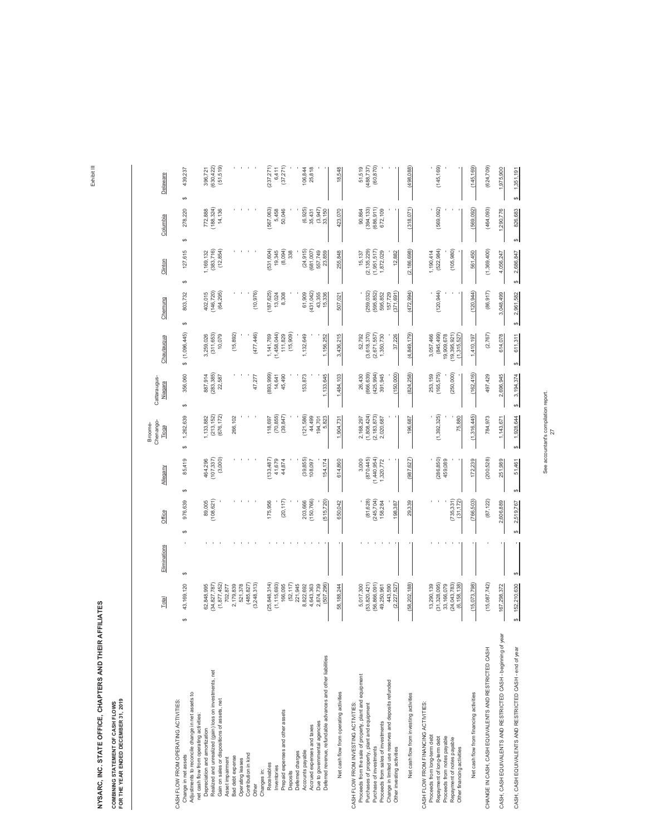COMBINING STATEMENT OF CASH FLOWS<br>FOR THE YEAR ENDED DECEMBER 31, 2019 **COMBINING STATEMENT OF CASH FLOWS**

**FOR THE YEAR ENDED DECEMBER 31, 2019**

|                                                                                                                                                                                                                                                                                                      | Total                                                                             | Eliminations | Office                                        | Allegany                                        | Chenango-<br>Broome-<br>Tioga                          | Cattaraugus-<br>Niagara                                    | Chautauqua                                                             | Chemung                                                      | Clinton                                                       | Columbia                                      | Delaware                           |
|------------------------------------------------------------------------------------------------------------------------------------------------------------------------------------------------------------------------------------------------------------------------------------------------------|-----------------------------------------------------------------------------------|--------------|-----------------------------------------------|-------------------------------------------------|--------------------------------------------------------|------------------------------------------------------------|------------------------------------------------------------------------|--------------------------------------------------------------|---------------------------------------------------------------|-----------------------------------------------|------------------------------------|
| Adjustments to reconcile change in net assets to<br>CASH FLOW FROM OPERATING ACTIVITIES:<br>Change in net assets                                                                                                                                                                                     | 43,169,120<br>G)                                                                  | ↔            | 976,639<br>↔                                  | 85,419<br>↔                                     | 1,262,639<br>4                                         | 356,060<br>↔                                               | \$(1,096,445)                                                          | 803,732<br>↮                                                 | 127,615<br>$\Theta$                                           | 278,220<br>↔                                  | 439,237<br>↔                       |
| Realized and unrealized (gain) loss on investments, net<br>Gain on sales or dispositions of assets, net<br>net cash flow from operating activities:<br>Depreciation and amortization                                                                                                                 | (1, 877, 452)<br>(34, 827, 787)<br>62,848,995                                     |              | (108, 621)<br>89,005                          | (107, 337)<br>(3,000)<br>464,296                | (676, 172)<br>(213, 152)<br>1,133,882                  | (283, 385)<br>887,914<br>22,587                            | (311, 653)<br>10,079<br>3,259,026                                      | (146, 720)<br>(64, 295)<br>402,015                           | (383, 716)<br>(12, 854)<br>1,169,132                          | (188, 324)<br>772,888<br>14,136               | (51, 519)<br>(630, 422)<br>396,721 |
| Contribution in kind<br>Bad debt expense<br>Asset impairment<br>Operating leases<br>Other                                                                                                                                                                                                            | (3,248,313)<br>(485, 827)<br>2,179,839<br>521,378<br>702,877                      |              |                                               |                                                 | 266,102                                                | 47,277                                                     | (15, 892)<br>(477, 446)                                                | (10, 976)                                                    |                                                               |                                               |                                    |
| Prepaid expenses and other assets<br>Deferred charges<br>Receivables<br>Inventories<br>Changes in:<br>Deposits                                                                                                                                                                                       | (52, 117)<br>(25, 848, 314)<br>(1, 115, 693)<br>166,095<br>221,945                |              | (20, 117)<br>175,956                          | (133, 487)<br>41,679<br>44,874                  | (39, 847)<br>(70, 855)<br>118,697                      | (893, 999)<br>45,490<br>14,641                             | (1,458,044)<br>(15,909)<br>1,141,769<br>111,829                        | (187, 625)<br>13,024<br>8,308                                | (531, 604)<br>(8,094)<br>19,345<br>338                        | (567,063)<br>5,458<br>50,046                  | (237, 271)<br>(37, 271)<br>6,411   |
| Deferred revenue, refundable advances and other liabilities<br>Due to governmental agencies<br>Accrued expenses and taxes<br>Accounts payable                                                                                                                                                        | 8,822,692<br>(507, 296)<br>4,643,363<br>2,874,739                                 |              | (150, 766)<br>(515, 720)<br>203,666           | (39, 855)<br>108,097<br>154,174                 | (121,586)<br>44,499<br>5,823<br>194,701                | 153,873<br>1,133,645                                       | 1,132,649<br>1,156,252                                                 | (431, 042)<br>61,909<br>43,355<br>15,336                     | (24, 915)<br>(681,007)<br>557,749<br>23,859                   | (6,925)<br>(3,947)<br>35,431<br>33,150        | 106,844<br>25,818                  |
| Net cash flow from operating activities                                                                                                                                                                                                                                                              | 58,188,244                                                                        |              | 650,042                                       | 614,860                                         | 1,904,731                                              | 1,484,103                                                  | 3,436,215                                                              | 507,021                                                      | 255,848                                                       | 423,070                                       | 18,548                             |
| Proceeds from the sale of property, plant and equipment<br>Change in limited use reserves and deposits refunded<br>CASH FLOW FROM INVESTING ACTIVITIES:<br>Purchases of property, plant and equipment<br>Proceeds from sales of investments<br>Purchase of investments<br>Other investing activities | (56,866,091)<br>(53,820,421)<br>5,017,300<br>443,590<br>(2,227,527)<br>49,250,961 |              | (81, 628)<br>(245, 704)<br>158,284<br>198,387 | (870, 445)<br>(1,440,954)<br>3,000<br>1,320,772 | (1,808,424)<br>(2, 183, 873)<br>2,168,297<br>2,020,687 | (666, 639)<br>(425, 994)<br>(150,000)<br>26,430<br>391,945 | (3,618,370)<br>(2,671,557)<br>52,792<br>1,350,730<br>37,226            | (259, 032)<br>(595, 852)<br>(371, 691)<br>595,852<br>157,729 | (2, 135, 229)<br>(1,951,517)<br>1,872,029<br>15,137<br>12,882 | (394, 133)<br>(686, 911)<br>90,864<br>672,109 | (60, 870)<br>(488, 737)<br>51,519  |
| Net cash flow from investing activities                                                                                                                                                                                                                                                              | (58,202,188)                                                                      |              | 29,339                                        | (987, 627)                                      | 196,687                                                | (824,258)                                                  | (4, 849, 179)                                                          | (472, 994)                                                   | (2, 186, 698)                                                 | (318, 071)                                    | (498, 088)                         |
| CASH FLOW FROM FINANCING ACTIVITIES:<br>Proceeds from long-term debt<br>Proceeds from notes payable<br>Repayment of long-term debt<br>Repayment of notes payable<br>Other financing activities                                                                                                       | (31, 328, 095)<br>24,043,783)<br>13,290,139<br>33,166,079<br>(6, 158, 138)        |              | (735, 331)<br>(31, 172)                       | (286, 850)<br>459,089                           | (1,392,325)<br>75,880                                  | (250,000)<br>253, 159<br>(165, 575)                        | (845, 499)<br>(19, 395, 921)<br>3,057,466<br>19,909,678<br>(1,315,527) | (120, 944)                                                   | (522, 984)<br>(105, 980)<br>1,190,414                         | (569, 092)                                    | (145, 169)                         |
| Net cash flow from financing activities                                                                                                                                                                                                                                                              | (15, 073, 798)                                                                    |              | (766, 503)                                    | 172,239                                         | (1,316,445)                                            | (162, 416)                                                 | 1,410,197                                                              | (120, 944)                                                   | 561,450                                                       | (569, 092)                                    | (145, 169)                         |
| CHANGE IN CASH, CASH EQUIVALENTS AND RESTRICTED CASH                                                                                                                                                                                                                                                 | (15,087,742)                                                                      |              | (87, 122)                                     | (200, 528)                                      | 784,973                                                | 497,429                                                    | (2,767)                                                                | (86, 917)                                                    | (1,369,400)                                                   | (464, 093)                                    | (624, 709)                         |
| CASH, CASH EQUIVALENTS AND RESTRICTED CASH - beginning of year                                                                                                                                                                                                                                       | 167,298,372                                                                       |              | 2,606,889                                     | 251,989                                         | 1,143,671                                              | 2,696,945                                                  | 614,078                                                                | 3,048,499                                                    | 4,056,247                                                     | 1,290,776                                     | 1,975,900                          |
| CASH, CASH EQUIVALENTS AND RESTRICTED CASH - end of year                                                                                                                                                                                                                                             | 152,210,630<br>↮                                                                  | ↮            | 2,519,767<br>↮                                | 51,461<br>မာ                                    | 1,928,644<br>↮                                         | 3,194,374<br>69                                            | 611,311<br>↮                                                           | 2,961,582<br>69                                              | 2,686,847<br>↮                                                | 826,683<br>↮                                  | \$ 1,351,191                       |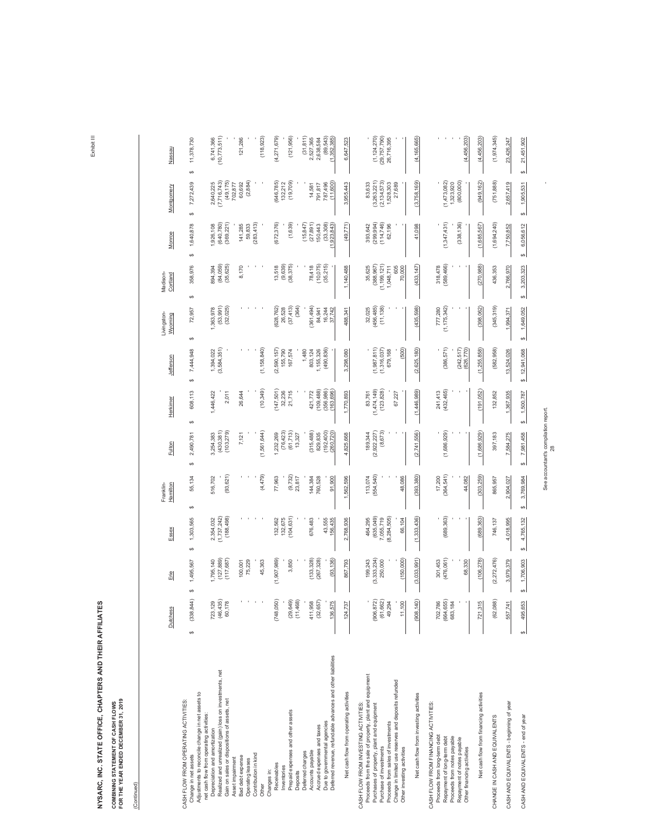**COMBINING STATEMENT OF CASH FLOWS<br>FOR THE YEAR ENDED DECEMBER 31, 2019 FOR THE YEAR ENDED DECEMBER 31, 2019 COMBINING STATEMENT OF CASH FLOWS**

(Continued) (Continued)

|                                                                                                                                                                                                                                                                                                      | Dutchess                                    | Erie                                           | Essex                                                        | Franklin-<br>Hamilton           | Fulton                                         | Herkimer                                          | Jefferson                                      | Livingston-<br>Wyoming                     | Madison-<br>Cortland                                                | Monroe                                          | Montgomery                                                    | Nassau                                        |
|------------------------------------------------------------------------------------------------------------------------------------------------------------------------------------------------------------------------------------------------------------------------------------------------------|---------------------------------------------|------------------------------------------------|--------------------------------------------------------------|---------------------------------|------------------------------------------------|---------------------------------------------------|------------------------------------------------|--------------------------------------------|---------------------------------------------------------------------|-------------------------------------------------|---------------------------------------------------------------|-----------------------------------------------|
| Adjustments to reconcile change in net assets to<br>CASH FLOW FROM OPERATING ACTIVITIES:<br>Change in net assets                                                                                                                                                                                     | (338, 844)<br>$\theta$                      | 1,495,567<br>↮                                 | 1,303,565<br>$\theta$                                        | 55,134<br>↔                     | 2,490,781<br>↔                                 | 608,113<br>↔                                      | 7,444,948<br>$\Theta$                          | 72,957<br>$\boldsymbol{\varphi}$           | 358,976<br>↔                                                        | 1,640,878<br>↔                                  | 7,272,439<br>$\theta$                                         | 11,378,730<br>$\theta$                        |
| Realized and unrealized (gain) loss on investments, net<br>Gain on sales or dispositions of assets, net<br>net cash flow from operating activities:<br>Depreciation and amortization                                                                                                                 | (46, 435)<br>723, 129<br>60,178             | (,795,140)<br>(127,889)<br>(117, 687)          | 2,354,032<br>(1,737,242)<br>(188, 498)                       | (93, 621)<br>516,702            | (430, 381)<br>(103, 279)<br>3,254,383          | ,446,422<br>2,011                                 | (3,584,351)<br>1,394,022                       | (53, 991)<br>(32, 025)<br>1,363,978        | (84, 059)<br>(35, 625)<br>894,394                                   | (640, 780)<br>,926,108<br>(369, 221)            | (49, 175)<br>(7, 716, 743)<br>2,640,225                       | 10,773,511<br>6,741,366                       |
| Contribution in kind<br>Bad debt expense<br>Asset impairment<br>Operating leases<br>Other                                                                                                                                                                                                            |                                             | 75,229<br>45,363<br>100,001                    |                                                              | (4,479)                         | (1,561,644)<br>7,121                           | (10,349)<br>26,644                                | (1, 158, 840)                                  |                                            | 8,170                                                               | (283, 413)<br>141,285<br>59,833                 | (2, 884)<br>702,877<br>60,692                                 | (118, 923)<br>121,286                         |
| Prepaid expenses and other assets<br>Deferred charges<br>Receivables<br>Inventories<br>Changes in:<br>Deposits                                                                                                                                                                                       | (748, 050)<br>(11,468)<br>(29, 649)         | (1,907,989)<br>3,850                           | (104, 631)<br>132,562<br>132,675                             | (9, 732)<br>77,963<br>23,817    | (76, 423)<br>(61, 713)<br>1,232,269<br>13,327  | (147, 501)<br>32,236<br>21,715                    | (2,590,157)<br>155,790<br>1,480<br>167,574     | (628, 762)<br>(37, 413)<br>(364)<br>26,528 | (9,639)<br>(38, 375)<br>13,518                                      | (672, 376)<br>(1,639)<br>(15, 847)              | (646, 785)<br>(19, 709)<br>132,212                            | (121, 956)<br>(31, 811)<br>(4,271,679)        |
| Deferred revenue, refundable advances and other liabilities<br>Due to governmental agencies<br>Accrued expenses and taxes<br>Accounts payable                                                                                                                                                        | (32, 657)<br>411,958<br>136,57              | (133, 328)<br>(93, 136)<br>(267, 328)          | 676,483<br>43,555<br>156,435                                 | 144,384<br>91,900<br>760,528    | (315, 488)<br>(192, 400)<br>829,835<br>260,720 | (356, 986)<br>(109, 488)<br>421,772<br>(163, 696) | (490, 836)<br>803, 124<br>1,155,326            | (361, 494)<br>16,244<br>84,941<br>37,742   | (35, 215)<br>(10, 075)<br>78,418                                    | (33,308)<br>(27, 891)<br>150,443<br>(1,923,843) | (11,600)<br>787,496<br>14,581<br>791,817                      | (1,352,385)<br>2,527,365<br>2,638,584         |
| Net cash flow from operating activities                                                                                                                                                                                                                                                              | 124,73                                      | 867,793                                        | 2,768,936                                                    | 1,562,596                       | 4,825,668                                      | 1,770,893                                         | 3,298,080                                      | 488,341                                    | 1,140,488                                                           | (49, 771)                                       | 3,955,443                                                     | 6,647,523                                     |
| Proceeds from the sale of property, plant and equipment<br>Change in limited use reserves and deposits refunded<br>CASH FLOW FROM INVESTING ACTIVITIES:<br>Purchases of property, plant and equipment<br>Proceeds from sales of investments<br>Purchase of investments<br>Other investing activities | (906, 872)<br>(61, 662)<br>49,294<br>11,100 | (3,333,234)<br>(150,000)<br>199,243<br>250,000 | (635,049)<br>(8, 284, 505)<br>7,055,719<br>464,295<br>66,104 | (554, 540)<br>113,074<br>48,086 | (8, 673)<br>(2,922,227)<br>189,344             | (123, 828)<br>(1,474,149)<br>83,761<br>67,227     | (1,316,037)<br>(500)<br>(1,987,811)<br>679,168 | (456, 485)<br>(11, 138)<br>32,025          | (1, 199, 121)<br>(388, 967)<br>35,625<br>605<br>70,000<br>1,048,711 | (299, 994)<br>(114, 746)<br>393,642<br>62,196   | (2, 134, 573)<br>(3,263,221)<br>83,633<br>1,528,303<br>27,689 | (1, 124, 270)<br>(29, 757, 790)<br>26,716,395 |
| Net cash flow from investing activities                                                                                                                                                                                                                                                              | (908, 140)                                  | (3,033,991)                                    | (1,333,436)                                                  | (393, 380)                      | (2, 741, 556)                                  | (1,446,989)                                       | (2,625,180)                                    | (435, 598)                                 | (433, 147)                                                          | 41,098                                          | (3,758,169)                                                   | (4, 165, 665)                                 |
| CASH FLOW FROM FINANCING ACTIVITIES<br>Proceeds from long-term debt<br>Proceeds from notes payable<br>Repayment of long-term debt<br>Repayment of notes payable<br>Other financing activities                                                                                                        | (664, 655)<br>702,786<br>683,184            | (476, 061)<br>301,453<br>68,330                | (689, 363)                                                   | (364, 541)<br>17,200<br>44,082  | (1,686,929)                                    | (432, 465)<br>241,413                             | (386, 571)<br>(242, 517)<br>(626, 770)         | (1, 175, 342)<br>777,280                   | (589, 466)<br>318,478                                               | (1, 347, 431)<br>(338, 136)                     | (1,473,082)<br>(800, 000)<br>1,323,920                        | (4,456,203)                                   |
| Net cash flow from financing activities                                                                                                                                                                                                                                                              | 721,31                                      | (106, 278)                                     | (689, 363)                                                   | (303, 259)                      | (1,686,929)                                    | (191, 052)                                        | (1, 255, 858)                                  | (398, 062)                                 | (270, 988)                                                          | (1,685,567)                                     | (949, 162)                                                    | (4,456,203)                                   |
| CHANGE IN CASH AND EQUIVALENTS                                                                                                                                                                                                                                                                       | (62, 088)                                   | (2,272,476)                                    | 746,137                                                      | 865,957                         | 397,183                                        | 132,852                                           | (582, 958)                                     | (345, 319)                                 | 436,353                                                             | (1,694,240)                                     | (751, 888)                                                    | (1,974,345)                                   |
| CASH AND EQUIVALENTS - beginning of year                                                                                                                                                                                                                                                             | 557,741                                     | 3,979,379                                      | 4,018,995                                                    | 2,904,027                       | 7,584,275                                      | 1,367,935                                         | 13,524,026                                     | 1,994,371                                  | 2,766,970                                                           | 7,750,852                                       | 2,657,419                                                     | 23,426,247                                    |
| CASH AND EQUIVALENTS - end of year                                                                                                                                                                                                                                                                   | 495,653<br>↮                                | 1,706,903                                      | 4,765,132<br>⇔                                               | 3,769,984<br>s,                 | 7,981,458<br>↮                                 | \$1,500,787                                       | \$12,941,068                                   | 1,649,052<br>↮                             | 3,203,323<br>ക                                                      | 6,056,612<br>69                                 | 1,905,531<br>⇔                                                | 21,451,902<br>↮                               |

See accountant's compilation report. - See accountant's compilation report.<br>28

 $\hat{\boldsymbol{\beta}}$ 

Exhibit III Exhibit III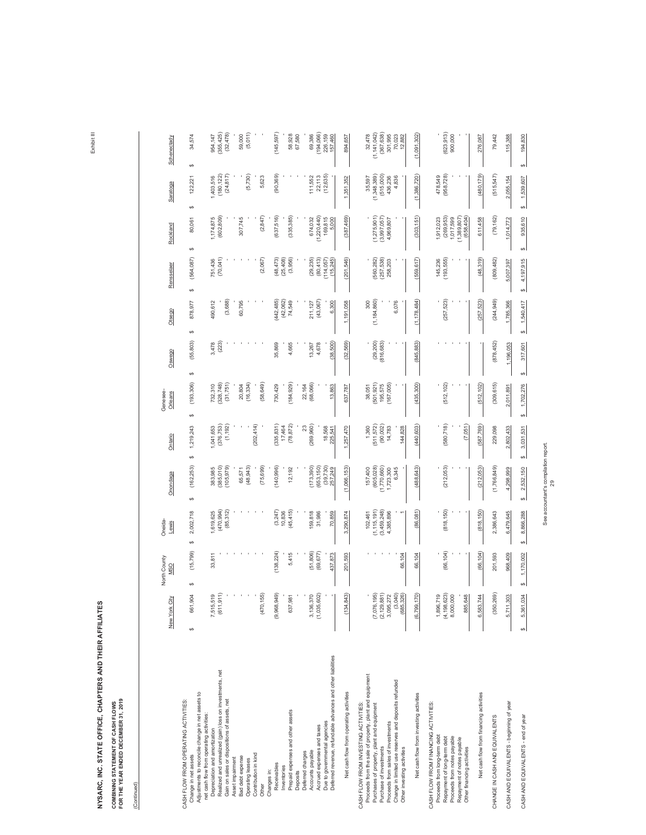**COMBINING STATEMENT OF CASH FLOWS<br>FOR THE YEAR ENDED DECEMBER 31, 2019 FOR THE YEAR ENDED DECEMBER 31, 2019 COMBINING STATEMENT OF CASH FLOWS**

(Continued)

(Continued)

|                                                                                                                                                                                                                                                                                                      | New York City                                                         | North County<br><b>MSO</b> | Oneida-<br>Lewis                                     | Onondaga                                                   | Ontario                                               | Genesee-<br>Orleans                           | Oswego                  | Otsego                           | Rensselaer                              | Rockland                                                          | Saratoga                                               | Schenectady                                                          |
|------------------------------------------------------------------------------------------------------------------------------------------------------------------------------------------------------------------------------------------------------------------------------------------------------|-----------------------------------------------------------------------|----------------------------|------------------------------------------------------|------------------------------------------------------------|-------------------------------------------------------|-----------------------------------------------|-------------------------|----------------------------------|-----------------------------------------|-------------------------------------------------------------------|--------------------------------------------------------|----------------------------------------------------------------------|
| Adjustments to reconcile change in net assets to<br>CASH FLOW FROM OPERATING ACTIVITIES:<br>Change in net assets                                                                                                                                                                                     | 106<br>661,9<br>$\Theta$                                              | (15, 799)<br>↔             | 2,002,718<br>↔                                       | (162, 253)<br>↔                                            | 1,219,243<br>↔                                        | (193, 306)<br>$\boldsymbol{\varphi}$          | (55, 803)<br>↮          | 878,977<br>↮                     | (564, 087)<br>↔                         | 80,061<br>↮                                                       | 122,227<br>$\boldsymbol{\varphi}$                      | 34,574<br>↔                                                          |
| Realized and unrealized (gain) loss on investments, net<br>Gain on sales or dispositions of assets, net<br>net cash flow from operating activities<br>Depreciation and amortization                                                                                                                  | (611, 911)<br>7,515,519                                               | 33,811                     | (470, 994)<br>(85,312)<br>1,619,625                  | (385,010)<br>(105, 979)<br>383,985                         | (1, 192)<br>(376, 753)<br>,041,653                    | (31,751)<br>328,748)<br>732,310               | (223)<br>3,478          | (3,688)<br>490,612               | (70, 041)<br>751,436                    | (602, 809)<br>1,174,875                                           | (24, 817)<br>(180, 122)<br>1,403,516                   | 355,425)<br>(32, 478)<br>954,147                                     |
| Bad debt expense<br>Asset impairment<br>Operating leases                                                                                                                                                                                                                                             |                                                                       |                            |                                                      | (48, 943)<br>65,571                                        |                                                       | (16, 334)<br>20,804                           |                         | 60,795                           |                                         | 307,745                                                           | (5,730)                                                | (5,011)<br>59,000                                                    |
| Contribution in kind<br>Other                                                                                                                                                                                                                                                                        | ශි<br>(470, 1)                                                        |                            |                                                      | (75, 699)                                                  | (202, 414)                                            | (58, 649)                                     |                         |                                  | (2,067)                                 | (2, 847)                                                          | 5,623                                                  |                                                                      |
| Prepaid expenses and other assets<br>Receivables<br>Inventories<br>Changes in:                                                                                                                                                                                                                       | (9,968,949)<br>637,981                                                | (138, 224)<br>5,415        | (3,247)<br>(45, 415)<br>10,836                       | 140,996)<br>12,192                                         | (335, 831)<br>(78, 872)<br>17,464                     | (184, 929)<br>730,429                         | 35,869<br>4,665         | (442, 485)<br>(42,062)<br>74,549 | (3,956)<br>(48, 473)<br>(25, 408)       | (637,516)<br>(335, 385)                                           | (90, 369)                                              | (145, 597)<br>58,928                                                 |
| Deferred charges<br>Deposits                                                                                                                                                                                                                                                                         |                                                                       |                            |                                                      |                                                            | 23                                                    | 22,164                                        |                         |                                  |                                         |                                                                   |                                                        | 67,580                                                               |
| Due to governmental agencies<br>Accrued expenses and taxes<br>Accounts payable                                                                                                                                                                                                                       | (1,035,602)<br>3,136,370                                              | (51, 806)<br>(69, 677)     | 159,818<br>31,986                                    | (173, 390)<br>(653, 150)<br>$(39, 730)$<br>$257, 249$      | (269, 960)<br>18,568                                  | (68,066)                                      | 4,678<br>13,267         | (43,067)<br>211,127              | (29, 235)<br>(80, 413)<br>(114, 057)    | (1,220,440)<br>674,032<br>169,815                                 | (12, 635)<br>22,113<br>111,552                         | (194, 066)<br>69,386<br>226, 159                                     |
| Deferred revenue, refundable advances and other liabilities                                                                                                                                                                                                                                          |                                                                       | 437,873                    | 70,859                                               |                                                            | 225,541                                               | 13,863                                        | (38, 500)               | 6,300                            | (15, 245)                               | 5,000                                                             |                                                        | 157,460                                                              |
| Net cash flow from operating activities                                                                                                                                                                                                                                                              | (134, 843)                                                            | 201,593                    | 3,290,874                                            | (1,066,153)                                                | 1,257,470                                             | 637,787                                       | (32, 569)               | 1,191,058                        | (201, 546)                              | (387,469)                                                         | 1,351,352                                              | 894,657                                                              |
| Proceeds from the sale of property, plant and equipment<br>Change in limited use reserves and deposits refunded<br>CASH FLOW FROM INVESTING ACTIVITIES:<br>Purchases of property, plant and equipment<br>Proceeds from sales of investments<br>Purchase of investments<br>Other investing activities | (7,076,195)<br>(2, 129, 881)<br>$(3,040)$<br>$(685,326)$<br>3,095,272 | 66,104                     | (3,459,248)<br>(1, 115, 191)<br>4,385,896<br>102,461 | (1,770,660)<br>(605, 028)<br>6,345<br>157,400<br>1,723,300 | $1,360$<br>(511,572)<br>(90,002)<br>14,783<br>144,828 | (501, 921)<br>(167, 005)<br>195,575<br>38,051 | (29, 200)<br>(816, 683) | (1, 184, 860)<br>6,076           | $(560, 282)$<br>$(257, 538)$<br>258,203 | $(1,275,901)$<br>$(3,997,057)$<br>4,969,807                       | (1,348,389)<br>(515,000)<br>436,236<br>35,597<br>4,836 | (1, 141, 042)<br>(367, 638)<br>32,478<br>301,995<br>70,023<br>12,882 |
| Net cash flow from investing activities                                                                                                                                                                                                                                                              | (2)<br>(6, 799, 1)                                                    | 66,104                     | (86,081)                                             | (488, 643)                                                 | (440, 603)                                            | (435, 300)                                    | (845, 883)              | (1, 178, 484)                    | (559, 617)                              | (303, 151)                                                        | (1,386,720)                                            | (1,091,302)                                                          |
| CASH FLOW FROM FINANCING ACTIVITIES:<br>Proceeds from long-term debt<br>Proceeds from notes payable<br>Repayment of long-term debt<br>Repayment of notes payable<br>Other financing activities                                                                                                       | 1,896,719<br>(4,198,623)<br>8,000,000<br>885,648                      | (66, 104)                  | (818, 150)                                           | (212,053)                                                  | (580, 718)<br>(7,051)                                 | (512, 102)                                    |                         | (257, 523)                       | (193, 555)<br>145,236                   | (269, 953)<br>(1,389,807)<br>(658, 404)<br>1,912,023<br>1,017,599 | (958, 728)<br>478,549                                  | (623, 913)<br>900,000                                                |
| Net cash flow from financing activities                                                                                                                                                                                                                                                              | 6,583,744                                                             | (66, 104)                  | (818, 150)                                           | (212, 053)                                                 | (587, 769)                                            | (512, 102)                                    |                         | (257, 523)                       | (48, 319)                               | 611,458                                                           | (480, 179)                                             | 276,087                                                              |
| CHANGE IN CASH AND EQUIVALENTS                                                                                                                                                                                                                                                                       | (350, 269)                                                            | 201,593                    | 2,386,643                                            | (1,766,849)                                                | 229,098                                               | (309, 615)                                    | (878, 452)              | (244, 949)                       | (809, 482)                              | (79, 162)                                                         | (515, 547)                                             | 79,442                                                               |
| CASH AND EQUIVALENTS - beginning of year                                                                                                                                                                                                                                                             | $\frac{303}{2}$<br>5,711,                                             | 968,409                    | 6,479,645                                            | 4,298,999                                                  | 2,802,433                                             | 2,011,891                                     | 1,196,053               | 1,785,366                        | 5,007,397                               | 1,014,772                                                         | 2,055,154                                              | 115,388                                                              |
| CASH AND EQUIVALENTS - end of year                                                                                                                                                                                                                                                                   | 5,361,034<br>↮                                                        | 1,170,002<br>٣             | 8,866,288<br>ω                                       | 2,532,150<br>↮                                             | 3,031,531<br>ω                                        | 1,702,276                                     | 317,601<br>↮            | 1,540,417<br>မာ                  | 4,197,915<br>↮                          | 935,610<br>↮                                                      | 1,539,607<br>69                                        | 194,830                                                              |

See accountant's compilation report. See accountant's compilation report.<br>29

Exhibit III Exhibit III